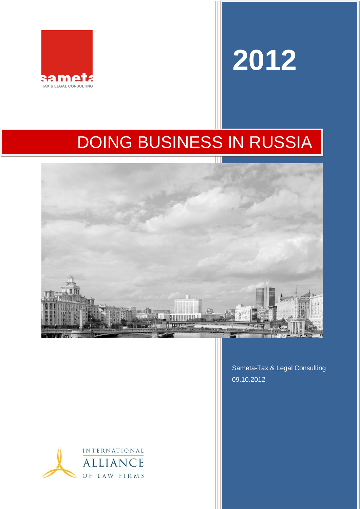

# **2012**

# DOING BUSINESS IN RUSSIA



Sameta-Tax & Legal Consulting 09.10.2012

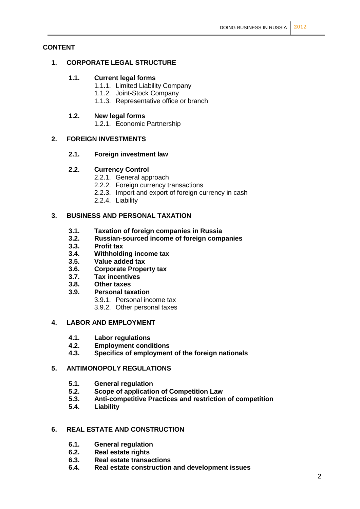# **CONTENT**

# **1. CORPORATE LEGAL STRUCTURE**

# **1.1. Current legal forms**

- 1.1.1. Limited Liability Company
- 1.1.2. Joint-Stock Company
- 1.1.3. Representative office or branch

# **1.2. New legal forms**

1.2.1. Economic Partnership

# **2. FOREIGN INVESTMENTS**

# **2.1. Foreign investment law**

# **2.2. Currency Control**

- 2.2.1. General approach
- 2.2.2. Foreign currency transactions
- 2.2.3. Import and export of foreign currency in cash
- 2.2.4. Liability

# **3. BUSINESS AND PERSONAL TAXATION**

- **3.1. Taxation of foreign companies in Russia**
- **3.2. Russian-sourced income of foreign companies**
- **3.3. Profit tax**
- **3.4. Withholding income tax**
- **3.5. Value added tax**
- **3.6. Corporate Property tax**
- **3.7. Tax incentives**
- **3.8. Other taxes**
- **3.9. Personal taxation**
	- 3.9.1. Personal income tax
	- 3.9.2. Other personal taxes

# **4. LABOR AND EMPLOYMENT**

- **4.1. Labor regulations**
- **4.2. Employment conditions**
- **4.3. Specifics of employment of the foreign nationals**

# **5. ANTIMONOPOLY REGULATIONS**

- **5.1. General regulation**
- **5.2. Scope of application of Competition Law**
- **5.3. Anti-competitive Practices and restriction of competition**
- **5.4. Liability**

# **6. REAL ESTATE AND CONSTRUCTION**

- **6.1. General regulation**
- **6.2. Real estate rights**
- **6.3. Real estate transactions**
- **6.4. Real estate construction and development issues**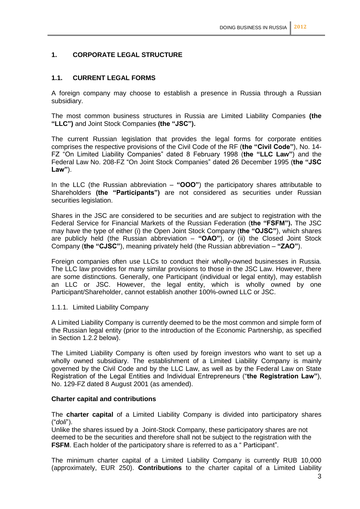# **1. CORPORATE LEGAL STRUCTURE**

# **1.1. CURRENT LEGAL FORMS**

A foreign company may choose to establish a presence in Russia through a Russian subsidiary.

The most common business structures in Russia are Limited Liability Companies **(the "LLC")** and Joint Stock Companies **(the "JSC").**

The current Russian legislation that provides the legal forms for corporate entities comprises the respective provisions of the Civil Code of the RF (**the "Civil Code"**), No. 14- FZ "On Limited Liability Companies" dated 8 February 1998 (**the "LLC Law"**) and the Federal Law No. 208-FZ "On Joint Stock Companies" dated 26 December 1995 (**the "JSC Law"**).

In the LLC (the Russian abbreviation – **"ООО"**) the participatory shares attributable to Shareholders **(the "Participants")** are not considered as securities under Russian securities legislation.

Shares in the JSC are considered to be securities and are subject to registration with the Federal Service for Financial Markets of the Russian Federation (**the "FSFM").** The JSC may have the type of either (i) the Open Joint Stock Company (**the "OJSC"**), which shares are publicly held (the Russian abbreviation – **"OAO"**), or (ii) the Closed Joint Stock Company (**the "CJSC"**), meaning privately held (the Russian abbreviation – **"ZAO"**).

Foreign companies often use LLCs to conduct their wholly-owned businesses in Russia. The LLC law provides for many similar provisions to those in the JSC Law. However, there are some distinctions. Generally, one Participant (individual or legal entity), may establish an LLC or JSC. However, the legal entity, which is wholly owned by one Participant/Shareholder, cannot establish another 100%-owned LLC or JSC.

#### 1.1.1. Limited Liability Company

A Limited Liability Company is currently deemed to be the most common and simple form of the Russian legal entity (prior to the introduction of the Economic Partnership, as specified in Section 1.2.2 below).

The Limited Liability Company is often used by foreign investors who want to set up a wholly owned subsidiary. The establishment of a Limited Liability Company is mainly governed by the Civil Code and by the LLC Law, as well as by the Federal Law on State Registration of the Legal Entities and Individual Entrepreneurs ("**the Registration Law"**), No. 129-FZ dated 8 August 2001 (as amended).

#### **Charter capital and contributions**

The **charter capital** of a Limited Liability Company is divided into participatory shares ("*doli*").

Unlike the shares issued by a Joint-Stock Company, these participatory shares are not deemed to be the securities and therefore shall not be subject to the registration with the **FSFM**. Each holder of the participatory share is referred to as a " Participant".

The minimum charter capital of a Limited Liability Company is currently RUB 10,000 (approximately, EUR 250). **Contributions** to the charter capital of a Limited Liability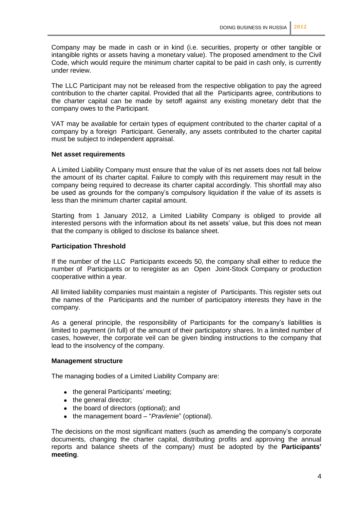Company may be made in cash or in kind (i.e. securities, property or other tangible or intangible rights or assets having a monetary value). The proposed amendment to the Civil Code, which would require the minimum charter capital to be paid in cash only, is currently under review.

The LLC Participant may not be released from the respective obligation to pay the agreed contribution to the charter capital. Provided that all the Participants agree, contributions to the charter capital can be made by setoff against any existing monetary debt that the company owes to the Participant.

VAT may be available for certain types of equipment contributed to the charter capital of a company by a foreign Participant. Generally, any assets contributed to the charter capital must be subject to independent appraisal.

#### **Net asset requirements**

A Limited Liability Company must ensure that the value of its net assets does not fall below the amount of its charter capital. Failure to comply with this requirement may result in the company being required to decrease its charter capital accordingly. This shortfall may also be used as grounds for the company's compulsory liquidation if the value of its assets is less than the minimum charter capital amount.

Starting from 1 January 2012, a Limited Liability Company is obliged to provide all interested persons with the information about its net assets' value, but this does not mean that the company is obliged to disclose its balance sheet.

#### **Participation Threshold**

If the number of the LLC Participants exceeds 50, the company shall either to reduce the number of Participants or to reregister as an Open Joint-Stock Company or production cooperative within a year.

All limited liability companies must maintain a register of Participants. This register sets out the names of the Participants and the number of participatory interests they have in the company.

As a general principle, the responsibility of Participants for the company's liabilities is limited to payment (in full) of the amount of their participatory shares. In a limited number of cases, however, the corporate veil can be given binding instructions to the company that lead to the insolvency of the company.

#### **Management structure**

The managing bodies of a Limited Liability Company are:

- the general Participants' meeting;
- the general director;
- the board of directors (optional); and
- the management board "*Pravlenie*" (optional).

The decisions on the most significant matters (such as amending the company's corporate documents, changing the charter capital, distributing profits and approving the annual reports and balance sheets of the company) must be adopted by the **Participants' meeting**.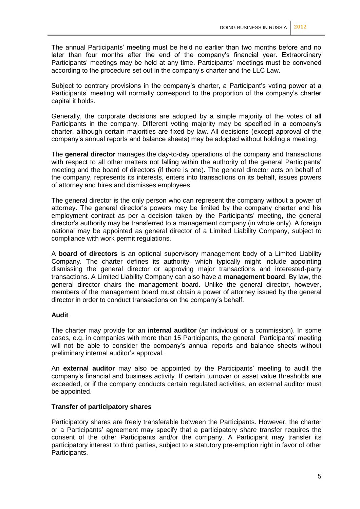The annual Participants' meeting must be held no earlier than two months before and no later than four months after the end of the company's financial year. Extraordinary Participants' meetings may be held at any time. Participants' meetings must be convened according to the procedure set out in the company's charter and the LLC Law.

Subject to contrary provisions in the company's charter, a Participant's voting power at a Participants' meeting will normally correspond to the proportion of the company's charter capital it holds.

Generally, the corporate decisions are adopted by a simple majority of the votes of all Participants in the company. Different voting majority may be specified in a company's charter, although certain majorities are fixed by law. All decisions (except approval of the company's annual reports and balance sheets) may be adopted without holding a meeting.

The **general director** manages the day-to-day operations of the company and transactions with respect to all other matters not falling within the authority of the general Participants' meeting and the board of directors (if there is one). The general director acts on behalf of the company, represents its interests, enters into transactions on its behalf, issues powers of attorney and hires and dismisses employees.

The general director is the only person who can represent the company without a power of attorney. The general director's powers may be limited by the company charter and his employment contract as per a decision taken by the Participants' meeting, the general director's authority may be transferred to a management company (in whole only). A foreign national may be appointed as general director of a Limited Liability Company, subject to compliance with work permit regulations.

A **board of directors** is an optional supervisory management body of a Limited Liability Company. The charter defines its authority, which typically might include appointing dismissing the general director or approving major transactions and interested-party transactions. A Limited Liability Company can also have a **management board**. By law, the general director chairs the management board. Unlike the general director, however, members of the management board must obtain a power of attorney issued by the general director in order to conduct transactions on the company's behalf.

#### **Audit**

The charter may provide for an **internal auditor** (an individual or a commission). In some cases, e.g. in companies with more than 15 Participants, the general Participants' meeting will not be able to consider the company's annual reports and balance sheets without preliminary internal auditor's approval.

An **external auditor** may also be appointed by the Participants' meeting to audit the company's financial and business activity. If certain turnover or asset value thresholds are exceeded, or if the company conducts certain regulated activities, an external auditor must be appointed.

#### **Transfer of participatory shares**

Participatory shares are freely transferable between the Participants. However, the charter or a Participants' agreement may specify that a participatory share transfer requires the consent of the other Participants and/or the company. A Participant may transfer its participatory interest to third parties, subject to a statutory pre-emption right in favor of other Participants.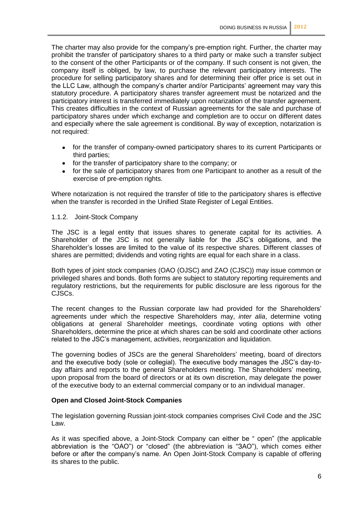The charter may also provide for the company's pre-emption right. Further, the charter may prohibit the transfer of participatory shares to a third party or make such a transfer subject to the consent of the other Participants or of the company. If such consent is not given, the company itself is obliged, by law, to purchase the relevant participatory interests. The procedure for selling participatory shares and for determining their offer price is set out in the LLC Law, although the company's charter and/or Participants' agreement may vary this statutory procedure. A participatory shares transfer agreement must be notarized and the participatory interest is transferred immediately upon notarization of the transfer agreement. This creates difficulties in the context of Russian agreements for the sale and purchase of participatory shares under which exchange and completion are to occur on different dates and especially where the sale agreement is conditional. By way of exception, notarization is not required:

- for the transfer of company-owned participatory shares to its current Participants or third parties;
- for the transfer of participatory share to the company; or
- for the sale of participatory shares from one Participant to another as a result of the exercise of pre-emption rights.

Where notarization is not required the transfer of title to the participatory shares is effective when the transfer is recorded in the Unified State Register of Legal Entities.

#### 1.1.2. Joint-Stock Company

The JSC is a legal entity that issues shares to generate capital for its activities. A Shareholder of the JSC is not generally liable for the JSC's obligations, and the Shareholder's losses are limited to the value of its respective shares. Different classes of shares are permitted; dividends and voting rights are equal for each share in a class.

Both types of joint stock companies (OAO (OJSC) and ZAO (CJSC)) may issue common or privileged shares and bonds. Both forms are subject to statutory reporting requirements and regulatory restrictions, but the requirements for public disclosure are less rigorous for the CJSCs.

The recent changes to the Russian corporate law had provided for the Shareholders' agreements under which the respective Shareholders may, *inter alia*, determine voting obligations at general Shareholder meetings, coordinate voting options with other Shareholders, determine the price at which shares can be sold and coordinate other actions related to the JSC's management, activities, reorganization and liquidation.

The governing bodies of JSCs are the general Shareholders' meeting, board of directors and the executive body (sole or collegial). The executive body manages the JSC's day-today affairs and reports to the general Shareholders meeting. The Shareholders' meeting, upon proposal from the board of directors or at its own discretion, may delegate the power of the executive body to an external commercial company or to an individual manager.

#### **Open and Closed Joint-Stock Companies**

The legislation governing Russian joint-stock companies comprises Civil Code and the JSC Law.

As it was specified above, a Joint-Stock Company can either be " open" (the applicable abbreviation is the "OAO") or "closed" (the abbreviation is "ЗАО"), which comes either before or after the company's name. An Open Joint-Stock Company is capable of offering its shares to the public.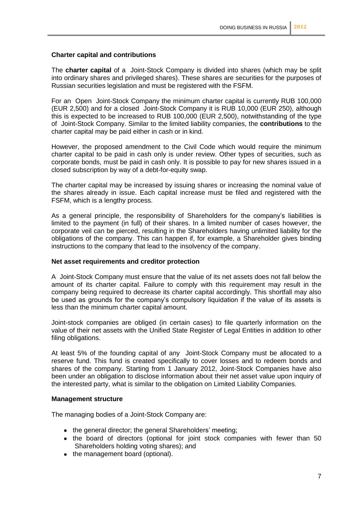# **Charter capital and contributions**

The **charter capital** of a Joint-Stock Company is divided into shares (which may be split into ordinary shares and privileged shares). These shares are securities for the purposes of Russian securities legislation and must be registered with the FSFM.

For an Open Joint-Stock Company the minimum charter capital is currently RUB 100,000 (EUR 2,500) and for a closed Joint-Stock Company it is RUB 10,000 (EUR 250), although this is expected to be increased to RUB 100,000 (EUR 2,500), notwithstanding of the type of Joint-Stock Company. Similar to the limited liability companies, the **contributions** to the charter capital may be paid either in cash or in kind.

However, the proposed amendment to the Civil Code which would require the minimum charter capital to be paid in cash only is under review. Other types of securities, such as corporate bonds, must be paid in cash only. It is possible to pay for new shares issued in a closed subscription by way of a debt-for-equity swap.

The charter capital may be increased by issuing shares or increasing the nominal value of the shares already in issue. Each capital increase must be filed and registered with the FSFM, which is a lengthy process.

As a general principle, the responsibility of Shareholders for the company's liabilities is limited to the payment (in full) of their shares. In a limited number of cases however, the corporate veil can be pierced, resulting in the Shareholders having unlimited liability for the obligations of the company. This can happen if, for example, a Shareholder gives binding instructions to the company that lead to the insolvency of the company.

#### **Net asset requirements and creditor protection**

A Joint-Stock Company must ensure that the value of its net assets does not fall below the amount of its charter capital. Failure to comply with this requirement may result in the company being required to decrease its charter capital accordingly. This shortfall may also be used as grounds for the company's compulsory liquidation if the value of its assets is less than the minimum charter capital amount.

Joint-stock companies are obliged (in certain cases) to file quarterly information on the value of their net assets with the Unified State Register of Legal Entities in addition to other filing obligations.

At least 5% of the founding capital of any Joint-Stock Company must be allocated to a reserve fund. This fund is created specifically to cover losses and to redeem bonds and shares of the company. Starting from 1 January 2012, Joint-Stock Companies have also been under an obligation to disclose information about their net asset value upon inquiry of the interested party, what is similar to the obligation on Limited Liability Companies.

#### **Management structure**

The managing bodies of a Joint-Stock Company are:

- the general director; the general Shareholders' meeting;
- the board of directors (optional for joint stock companies with fewer than 50 Shareholders holding voting shares); and
- the management board (optional).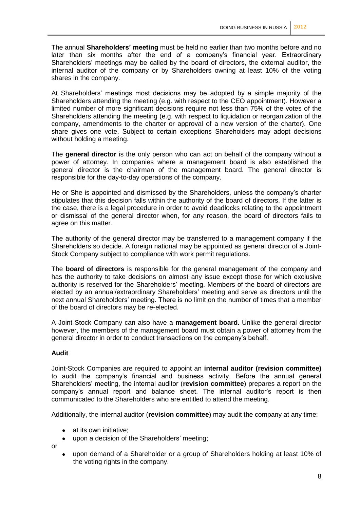The annual **Shareholders' meeting** must be held no earlier than two months before and no later than six months after the end of a company's financial year. Extraordinary Shareholders' meetings may be called by the board of directors, the external auditor, the internal auditor of the company or by Shareholders owning at least 10% of the voting shares in the company.

At Shareholders' meetings most decisions may be adopted by a simple majority of the Shareholders attending the meeting (e.g. with respect to the CEO appointment). However a limited number of more significant decisions require not less than 75% of the votes of the Shareholders attending the meeting (e.g. with respect to liquidation or reorganization of the company, amendments to the charter or approval of a new version of the charter). One share gives one vote. Subject to certain exceptions Shareholders may adopt decisions without holding a meeting.

The **general director** is the only person who can act on behalf of the company without a power of attorney. In companies where a management board is also established the general director is the chairman of the management board. The general director is responsible for the day-to-day operations of the company.

He or She is appointed and dismissed by the Shareholders, unless the company's charter stipulates that this decision falls within the authority of the board of directors. If the latter is the case, there is a legal procedure in order to avoid deadlocks relating to the appointment or dismissal of the general director when, for any reason, the board of directors fails to agree on this matter.

The authority of the general director may be transferred to a management company if the Shareholders so decide. A foreign national may be appointed as general director of a Joint-Stock Company subject to compliance with work permit regulations.

The **board of directors** is responsible for the general management of the company and has the authority to take decisions on almost any issue except those for which exclusive authority is reserved for the Shareholders' meeting. Members of the board of directors are elected by an annual/extraordinary Shareholders' meeting and serve as directors until the next annual Shareholders' meeting. There is no limit on the number of times that a member of the board of directors may be re-elected.

A Joint-Stock Company can also have a **management board.** Unlike the general director however, the members of the management board must obtain a power of attorney from the general director in order to conduct transactions on the company's behalf.

# **Audit**

Joint-Stock Companies are required to appoint an **internal auditor (revision committee)**  to audit the company's financial and business activity. Before the annual general Shareholders' meeting, the internal auditor (**revision committee**) prepares a report on the company's annual report and balance sheet. The internal auditor's report is then communicated to the Shareholders who are entitled to attend the meeting.

Additionally, the internal auditor (**revision committee**) may audit the company at any time:

- at its own initiative;
- upon a decision of the Shareholders' meeting;

or

upon demand of a Shareholder or a group of Shareholders holding at least 10% of the voting rights in the company.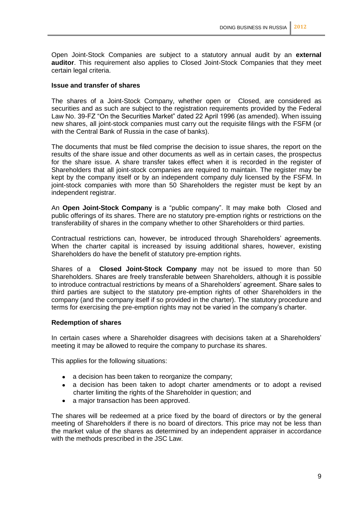Open Joint-Stock Companies are subject to a statutory annual audit by an **external auditor**. This requirement also applies to Closed Joint-Stock Companies that they meet certain legal criteria.

#### **Issue and transfer of shares**

The shares of a Joint-Stock Company, whether open or Closed, are considered as securities and as such are subject to the registration requirements provided by the Federal Law No. 39-FZ "On the Securities Market" dated 22 April 1996 (as amended). When issuing new shares, all joint-stock companies must carry out the requisite filings with the FSFM (or with the Central Bank of Russia in the case of banks).

The documents that must be filed comprise the decision to issue shares, the report on the results of the share issue and other documents as well as in certain cases, the prospectus for the share issue. A share transfer takes effect when it is recorded in the register of Shareholders that all joint-stock companies are required to maintain. The register may be kept by the company itself or by an independent company duly licensed by the FSFM. In joint-stock companies with more than 50 Shareholders the register must be kept by an independent registrar.

An **Open Joint-Stock Company** is a "public company". It may make both Closed and public offerings of its shares. There are no statutory pre-emption rights or restrictions on the transferability of shares in the company whether to other Shareholders or third parties.

Contractual restrictions can, however, be introduced through Shareholders' agreements. When the charter capital is increased by issuing additional shares, however, existing Shareholders do have the benefit of statutory pre-emption rights.

Shares of a **Closed Joint-Stock Company** may not be issued to more than 50 Shareholders. Shares are freely transferable between Shareholders, although it is possible to introduce contractual restrictions by means of a Shareholders' agreement. Share sales to third parties are subject to the statutory pre-emption rights of other Shareholders in the company (and the company itself if so provided in the charter). The statutory procedure and terms for exercising the pre-emption rights may not be varied in the company's charter.

#### **Redemption of shares**

In certain cases where a Shareholder disagrees with decisions taken at a Shareholders' meeting it may be allowed to require the company to purchase its shares.

This applies for the following situations:

- a decision has been taken to reorganize the company;
- a decision has been taken to adopt charter amendments or to adopt a revised charter limiting the rights of the Shareholder in question; and
- a major transaction has been approved.

The shares will be redeemed at a price fixed by the board of directors or by the general meeting of Shareholders if there is no board of directors. This price may not be less than the market value of the shares as determined by an independent appraiser in accordance with the methods prescribed in the JSC Law.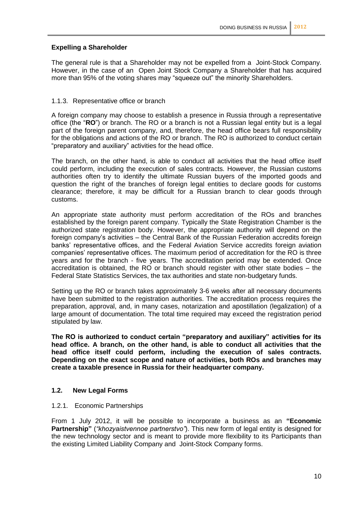# **Expelling a Shareholder**

The general rule is that a Shareholder may not be expelled from a Joint-Stock Company. However, in the case of an Open Joint Stock Company a Shareholder that has acquired more than 95% of the voting shares may "squeeze out" the minority Shareholders.

# 1.1.3. Representative office or branch

A foreign company may choose to establish a presence in Russia through a representative office (the "**RO**") or branch. The RO or a branch is not a Russian legal entity but is a legal part of the foreign parent company, and, therefore, the head office bears full responsibility for the obligations and actions of the RO or branch. The RO is authorized to conduct certain "preparatory and auxiliary" activities for the head office.

The branch, on the other hand, is able to conduct all activities that the head office itself could perform, including the execution of sales contracts. However, the Russian customs authorities often try to identify the ultimate Russian buyers of the imported goods and question the right of the branches of foreign legal entities to declare goods for customs clearance; therefore, it may be difficult for a Russian branch to clear goods through customs.

An appropriate state authority must perform accreditation of the ROs and branches established by the foreign parent company. Typically the State Registration Chamber is the authorized state registration body. However, the appropriate authority will depend on the foreign company's activities - the Central Bank of the Russian Federation accredits foreign banks' representative offices, and the Federal Aviation Service accredits foreign aviation companies' representative offices. The maximum period of accreditation for the RO is three years and for the branch - five years. The accreditation period may be extended. Once accreditation is obtained, the RO or branch should register with other state bodies – the Federal State Statistics Services, the tax authorities and state non-budgetary funds.

Setting up the RO or branch takes approximately 3-6 weeks after all necessary documents have been submitted to the registration authorities. The accreditation process requires the preparation, approval, and, in many cases, notarization and apostillation (legalization) of a large amount of documentation. The total time required may exceed the registration period stipulated by law.

**The RO is authorized to conduct certain "preparatory and auxiliary" activities for its head office. A branch, on the other hand, is able to conduct all activities that the head office itself could perform, including the execution of sales contracts. Depending on the exact scope and nature of activities, both ROs and branches may create a taxable presence in Russia for their headquarter company.**

# **1.2. New Legal Forms**

#### 1.2.1. Economic Partnerships

From 1 July 2012, it will be possible to incorporate a business as an **"Economic Partnership"** (*"khozyaistvennoe partnerstvo"*). This new form of legal entity is designed for the new technology sector and is meant to provide more flexibility to its Participants than the existing Limited Liability Company and Joint-Stock Company forms.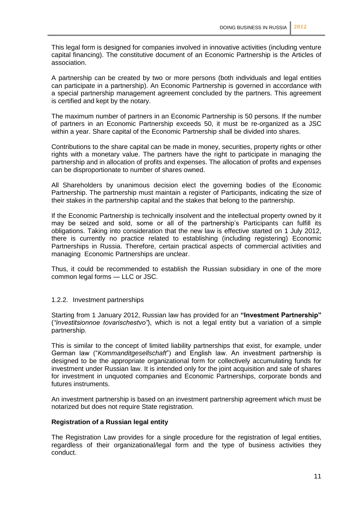This legal form is designed for companies involved in innovative activities (including venture capital financing). The constitutive document of an Economic Partnership is the Articles of association.

A partnership can be created by two or more persons (both individuals and legal entities can participate in a partnership). An Economic Partnership is governed in accordance with a special partnership management agreement concluded by the partners. This agreement is certified and kept by the notary.

The maximum number of partners in an Economic Partnership is 50 persons. If the number of partners in an Economic Partnership exceeds 50, it must be re-organized as a JSC within a year. Share capital of the Economic Partnership shall be divided into shares.

Contributions to the share capital can be made in money, securities, property rights or other rights with a monetary value. The partners have the right to participate in managing the partnership and in allocation of profits and expenses. The allocation of profits and expenses can be disproportionate to number of shares owned.

All Shareholders by unanimous decision elect the governing bodies of the Economic Partnership. The partnership must maintain a register of Participants, indicating the size of their stakes in the partnership capital and the stakes that belong to the partnership.

If the Economic Partnership is technically insolvent and the intellectual property owned by it may be seized and sold, some or all of the partnership's Participants can fulfill its obligations. Taking into consideration that the new law is effective started on 1 July 2012, there is currently no practice related to establishing (including registering) Economic Partnerships in Russia. Therefore, certain practical aspects of commercial activities and managing Economic Partnerships are unclear.

Thus, it could be recommended to establish the Russian subsidiary in one of the more common legal forms — LLC or JSC.

#### 1.2.2. Investment partnerships

Starting from 1 January 2012, Russian law has provided for an **"Investment Partnership"**  (*"investitsionnoe tovarischestvo"*), which is not a legal entity but a variation of a simple partnership.

This is similar to the concept of limited liability partnerships that exist, for example, under German law ("*Kommanditgesellschaft*") and English law. An investment partnership is designed to be the appropriate organizational form for collectively accumulating funds for investment under Russian law. It is intended only for the joint acquisition and sale of shares for investment in unquoted companies and Economic Partnerships, corporate bonds and futures instruments.

An investment partnership is based on an investment partnership agreement which must be notarized but does not require State registration.

#### **Registration of a Russian legal entity**

The Registration Law provides for a single procedure for the registration of legal entities, regardless of their organizational/legal form and the type of business activities they conduct.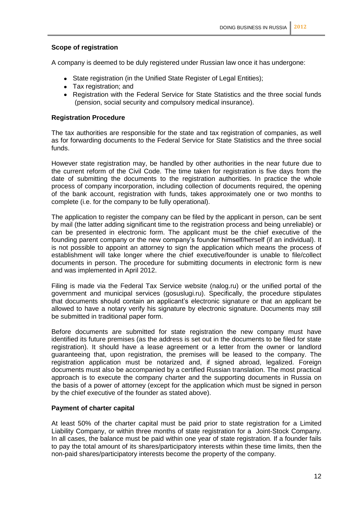# **Scope of registration**

A company is deemed to be duly registered under Russian law once it has undergone:

- State registration (in the Unified State Register of Legal Entities);
- Tax registration; and
- Registration with the Federal Service for State Statistics and the three social funds (pension, social security and compulsory medical insurance).

#### **Registration Procedure**

The tax authorities are responsible for the state and tax registration of companies, as well as for forwarding documents to the Federal Service for State Statistics and the three social funds.

However state registration may, be handled by other authorities in the near future due to the current reform of the Civil Code. The time taken for registration is five days from the date of submitting the documents to the registration authorities. In practice the whole process of company incorporation, including collection of documents required, the opening of the bank account, registration with funds, takes approximately one or two months to complete (i.e. for the company to be fully operational).

The application to register the company can be filed by the applicant in person, can be sent by mail (the latter adding significant time to the registration process and being unreliable) or can be presented in electronic form. The applicant must be the chief executive of the founding parent company or the new company's founder himself/herself (if an individual). It is not possible to appoint an attorney to sign the application which means the process of establishment will take longer where the chief executive/founder is unable to file/collect documents in person. The procedure for submitting documents in electronic form is new and was implemented in April 2012.

Filing is made via the Federal Tax Service website (nalog.ru) or the unified portal of the government and municipal services (gosuslugi.ru). Specifically, the procedure stipulates that documents should contain an applicant's electronic signature or that an applicant be allowed to have a notary verify his signature by electronic signature. Documents may still be submitted in traditional paper form.

Before documents are submitted for state registration the new company must have identified its future premises (as the address is set out in the documents to be filed for state registration). It should have a lease agreement or a letter from the owner or landlord guaranteeing that, upon registration, the premises will be leased to the company. The registration application must be notarized and, if signed abroad, legalized. Foreign documents must also be accompanied by a certified Russian translation. The most practical approach is to execute the company charter and the supporting documents in Russia on the basis of a power of attorney (except for the application which must be signed in person by the chief executive of the founder as stated above).

#### **Payment of charter capital**

At least 50% of the charter capital must be paid prior to state registration for a Limited Liability Company, or within three months of state registration for a Joint-Stock Company. In all cases, the balance must be paid within one year of state registration. If a founder fails to pay the total amount of its shares/participatory interests within these time limits, then the non-paid shares/participatory interests become the property of the company.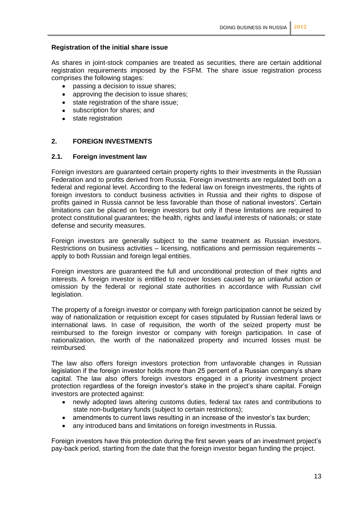# **Registration of the initial share issue**

As shares in joint-stock companies are treated as securities, there are certain additional registration requirements imposed by the FSFM. The share issue registration process comprises the following stages:

- passing a decision to issue shares;
- approving the decision to issue shares;
- state registration of the share issue;  $\bullet$
- subscription for shares; and
- state registration

# **2. FOREIGN INVESTMENTS**

#### **2.1. Foreign investment law**

Foreign investors are guaranteed certain property rights to their investments in the Russian Federation and to profits derived from Russia. Foreign investments are regulated both on a federal and regional level. According to the federal law on foreign investments, the rights of foreign investors to conduct business activities in Russia and their rights to dispose of profits gained in Russia cannot be less favorable than those of national investors'. Certain limitations can be placed on foreign investors but only if these limitations are required to protect constitutional guarantees; the health, rights and lawful interests of nationals; or state defense and security measures.

Foreign investors are generally subject to the same treatment as Russian investors. Restrictions on business activities – licensing, notifications and permission requirements – apply to both Russian and foreign legal entities.

Foreign investors are guaranteed the full and unconditional protection of their rights and interests. A foreign investor is entitled to recover losses caused by an unlawful action or omission by the federal or regional state authorities in accordance with Russian civil legislation.

The property of a foreign investor or company with foreign participation cannot be seized by way of nationalization or requisition except for cases stipulated by Russian federal laws or international laws. In case of requisition, the worth of the seized property must be reimbursed to the foreign investor or company with foreign participation. In case of nationalization, the worth of the nationalized property and incurred losses must be reimbursed.

The law also offers foreign investors protection from unfavorable changes in Russian legislation if the foreign investor holds more than 25 percent of a Russian company's share capital. The law also offers foreign investors engaged in a priority investment project protection regardless of the foreign investor's stake in the project's share capital. Foreign investors are protected against:

- newly adopted laws altering customs duties, federal tax rates and contributions to state non-budgetary funds (subject to certain restrictions);
- amendments to current laws resulting in an increase of the investor's tax burden;  $\bullet$
- any introduced bans and limitations on foreign investments in Russia.

Foreign investors have this protection during the first seven years of an investment project's pay-back period, starting from the date that the foreign investor began funding the project.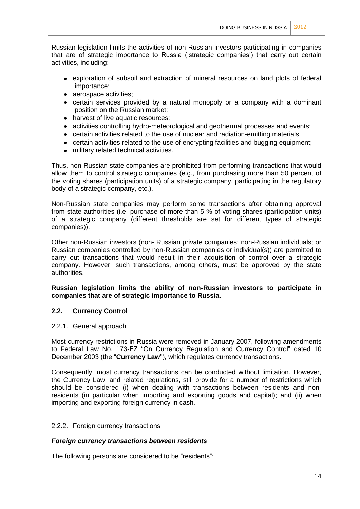Russian legislation limits the activities of non-Russian investors participating in companies that are of strategic importance to Russia ('strategic companies') that carry out certain activities, including:

- exploration of subsoil and extraction of mineral resources on land plots of federal importance;
- aerospace activities;
- certain services provided by a natural monopoly or a company with a dominant position on the Russian market;
- harvest of live aquatic resources;
- activities controlling hydro-meteorological and geothermal processes and events;
- certain activities related to the use of nuclear and radiation-emitting materials;
- certain activities related to the use of encrypting facilities and bugging equipment;
- military related technical activities.

Thus, non-Russian state companies are prohibited from performing transactions that would allow them to control strategic companies (e.g., from purchasing more than 50 percent of the voting shares (participation units) of a strategic company, participating in the regulatory body of a strategic company, etc.).

Non-Russian state companies may perform some transactions after obtaining approval from state authorities (i.e. purchase of more than 5 % of voting shares (participation units) of a strategic company (different thresholds are set for different types of strategic companies)).

Other non-Russian investors (non- Russian private companies; non-Russian individuals; or Russian companies controlled by non-Russian companies or individual(s)) are permitted to carry out transactions that would result in their acquisition of control over a strategic company. However, such transactions, among others, must be approved by the state authorities.

#### **Russian legislation limits the ability of non-Russian investors to participate in companies that are of strategic importance to Russia.**

#### **2.2. Currency Control**

#### 2.2.1. General approach

Most currency restrictions in Russia were removed in January 2007, following amendments to Federal Law No. 173-FZ "On Currency Regulation and Currency Control" dated 10 December 2003 (the "**Currency Law**"), which regulates currency transactions.

Consequently, most currency transactions can be conducted without limitation. However, the Currency Law, and related regulations, still provide for a number of restrictions which should be considered (i) when dealing with transactions between residents and nonresidents (in particular when importing and exporting goods and capital); and (ii) when importing and exporting foreign currency in cash.

#### 2.2.2. Foreign currency transactions

#### *Foreign currency transactions between residents*

The following persons are considered to be "residents":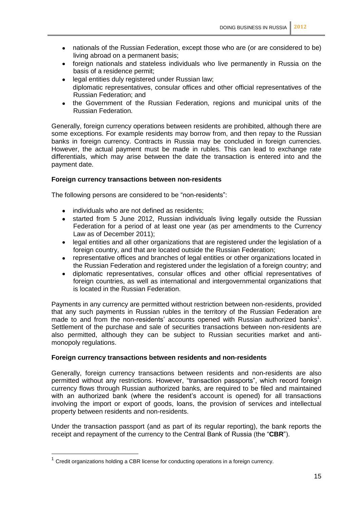- nationals of the Russian Federation, except those who are (or are considered to be) living abroad on a permanent basis;
- foreign nationals and stateless individuals who live permanently in Russia on the basis of a residence permit;
- legal entities duly registered under Russian law; diplomatic representatives, consular offices and other official representatives of the Russian Federation; and
- the Government of the Russian Federation, regions and municipal units of the Russian Federation.

Generally, foreign currency operations between residents are prohibited, although there are some exceptions. For example residents may borrow from, and then repay to the Russian banks in foreign currency. Contracts in Russia may be concluded in foreign currencies. However, the actual payment must be made in rubles. This can lead to exchange rate differentials, which may arise between the date the transaction is entered into and the payment date.

# **Foreign currency transactions between non-residents**

The following persons are considered to be "non-residents":

- individuals who are not defined as residents:
- started from 5 June 2012, Russian individuals living legally outside the Russian Federation for a period of at least one year (as per amendments to the Currency Law as of December 2011);
- legal entities and all other organizations that are registered under the legislation of a foreign country, and that are located outside the Russian Federation;
- representative offices and branches of legal entities or other organizations located in the Russian Federation and registered under the legislation of a foreign country; and
- diplomatic representatives, consular offices and other official representatives of foreign countries, as well as international and intergovernmental organizations that is located in the Russian Federation.

Payments in any currency are permitted without restriction between non-residents, provided that any such payments in Russian rubles in the territory of the Russian Federation are made to and from the non-residents' accounts opened with Russian authorized banks<sup>1</sup>. Settlement of the purchase and sale of securities transactions between non-residents are also permitted, although they can be subject to Russian securities market and antimonopoly regulations.

# **Foreign currency transactions between residents and non-residents**

Generally, foreign currency transactions between residents and non-residents are also permitted without any restrictions. However, "transaction passports", which record foreign currency flows through Russian authorized banks, are required to be filed and maintained with an authorized bank (where the resident's account is opened) for all transactions involving the import or export of goods, loans, the provision of services and intellectual property between residents and non-residents.

Under the transaction passport (and as part of its regular reporting), the bank reports the receipt and repayment of the currency to the Central Bank of Russia (the "**CBR**").

1

<sup>1</sup> Credit organizations holding a CBR license for conducting operations in a foreign currency.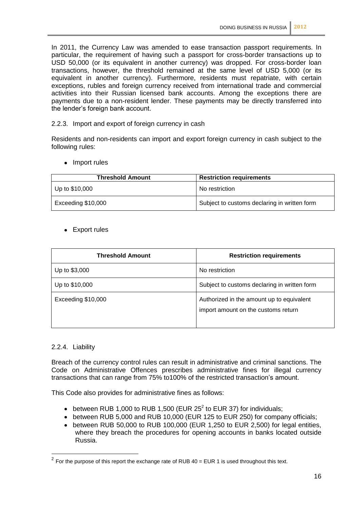In 2011, the Currency Law was amended to ease transaction passport requirements. In particular, the requirement of having such a passport for cross-border transactions up to USD 50,000 (or its equivalent in another currency) was dropped. For cross-border loan transactions, however, the threshold remained at the same level of USD 5,000 (or its equivalent in another currency). Furthermore, residents must repatriate, with certain exceptions, rubles and foreign currency received from international trade and commercial activities into their Russian licensed bank accounts. Among the exceptions there are payments due to a non-resident lender. These payments may be directly transferred into the lender's foreign bank account.

2.2.3. Import and export of foreign currency in cash

Residents and non-residents can import and export foreign currency in cash subject to the following rules:

• Import rules

| <b>Threshold Amount</b> | <b>Restriction requirements</b>              |
|-------------------------|----------------------------------------------|
| Up to \$10,000          | No restriction                               |
| Exceeding \$10,000      | Subject to customs declaring in written form |

• Export rules

| <b>Threshold Amount</b> | <b>Restriction requirements</b>                                                  |
|-------------------------|----------------------------------------------------------------------------------|
| Up to \$3,000           | No restriction                                                                   |
| Up to \$10,000          | Subject to customs declaring in written form                                     |
| Exceeding \$10,000      | Authorized in the amount up to equivalent<br>import amount on the customs return |

#### 2.2.4. Liability

1

Breach of the currency control rules can result in administrative and criminal sanctions. The Code on Administrative Offences prescribes administrative fines for illegal currency transactions that can range from 75% to100% of the restricted transaction's amount.

This Code also provides for administrative fines as follows:

- between RUB 1,000 to RUB 1,500 (EUR 25<sup>2</sup> to EUR 37) for individuals;
- between RUB 5,000 and RUB 10,000 (EUR 125 to EUR 250) for company officials;
- between RUB 50,000 to RUB 100,000 (EUR 1,250 to EUR 2,500) for legal entities, where they breach the procedures for opening accounts in banks located outside Russia.

<sup>&</sup>lt;sup>2</sup> For the purpose of this report the exchange rate of RUB 40 = EUR 1 is used throughout this text.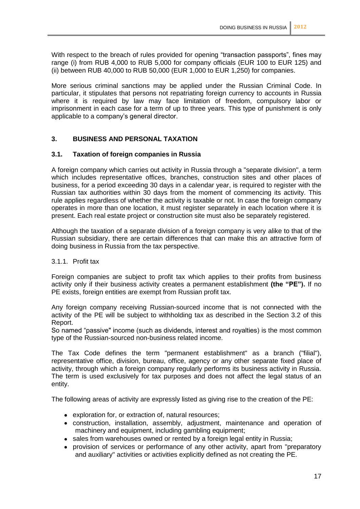With respect to the breach of rules provided for opening "transaction passports", fines may range (i) from RUB 4,000 to RUB 5,000 for company officials (EUR 100 to EUR 125) and (ii) between RUB 40,000 to RUB 50,000 (EUR 1,000 to EUR 1,250) for companies.

More serious criminal sanctions may be applied under the Russian Criminal Code. In particular, it stipulates that persons not repatriating foreign currency to accounts in Russia where it is required by law may face limitation of freedom, compulsory labor or imprisonment in each case for a term of up to three years. This type of punishment is only applicable to a company's general director.

# **3. BUSINESS AND PERSONAL TAXATION**

# **3.1. Taxation of foreign companies in Russia**

A foreign company which carries out activity in Russia through a "separate division", a term which includes representative offices, branches, construction sites and other places of business, for a period exceeding 30 days in a calendar year, is required to register with the Russian tax authorities within 30 days from the moment of commencing its activity. This rule applies regardless of whether the activity is taxable or not. In case the foreign company operates in more than one location, it must register separately in each location where it is present. Each real estate project or construction site must also be separately registered.

Although the taxation of a separate division of a foreign company is very alike to that of the Russian subsidiary, there are certain differences that can make this an attractive form of doing business in Russia from the tax perspective.

#### 3.1.1. Profit tax

Foreign companies are subject to profit tax which applies to their profits from business activity only if their business activity creates a permanent establishment **(the "PE").** If no PE exists, foreign entities are exempt from Russian profit tax.

Any foreign company receiving Russian-sourced income that is not connected with the activity of the PE will be subject to withholding tax as described in the Section 3.2 of this Report.

So named "passive" income (such as dividends, interest and royalties) is the most common type of the Russian-sourced non-business related income.

The Tax Code defines the term "permanent establishment" as a branch ("filial"), representative office, division, bureau, office, agency or any other separate fixed place of activity, through which a foreign company regularly performs its business activity in Russia. The term is used exclusively for tax purposes and does not affect the legal status of an entity.

The following areas of activity are expressly listed as giving rise to the creation of the PE:

- exploration for, or extraction of, natural resources;
- construction, installation, assembly, adjustment, maintenance and operation of machinery and equipment, including gambling equipment;
- sales from warehouses owned or rented by a foreign legal entity in Russia;
- provision of services or performance of any other activity, apart from "preparatory and auxiliary" activities or activities explicitly defined as not creating the PE.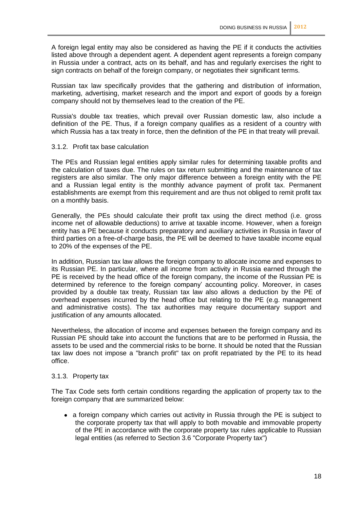A foreign legal entity may also be considered as having the PE if it conducts the activities listed above through a dependent agent. A dependent agent represents a foreign company in Russia under a contract, acts on its behalf, and has and regularly exercises the right to sign contracts on behalf of the foreign company, or negotiates their significant terms.

Russian tax law specifically provides that the gathering and distribution of information, marketing, advertising, market research and the import and export of goods by a foreign company should not by themselves lead to the creation of the PE.

Russia's double tax treaties, which prevail over Russian domestic law, also include a definition of the PE. Thus, if a foreign company qualifies as a resident of a country with which Russia has a tax treaty in force, then the definition of the PE in that treaty will prevail.

#### 3.1.2. Profit tax base calculation

The PEs and Russian legal entities apply similar rules for determining taxable profits and the calculation of taxes due. The rules on tax return submitting and the maintenance of tax registers are also similar. The only major difference between a foreign entity with the PE and a Russian legal entity is the monthly advance payment of profit tax. Permanent establishments are exempt from this requirement and are thus not obliged to remit profit tax on a monthly basis.

Generally, the PEs should calculate their profit tax using the direct method (i.e. gross income net of allowable deductions) to arrive at taxable income. However, when a foreign entity has a PE because it conducts preparatory and auxiliary activities in Russia in favor of third parties on a free-of-charge basis, the PE will be deemed to have taxable income equal to 20% of the expenses of the PE.

In addition, Russian tax law allows the foreign company to allocate income and expenses to its Russian PE. In particular, where all income from activity in Russia earned through the PE is received by the head office of the foreign company, the income of the Russian PE is determined by reference to the foreign company' accounting policy. Moreover, in cases provided by a double tax treaty, Russian tax law also allows a deduction by the PE of overhead expenses incurred by the head office but relating to the PE (e.g. management and administrative costs). The tax authorities may require documentary support and justification of any amounts allocated.

Nevertheless, the allocation of income and expenses between the foreign company and its Russian PE should take into account the functions that are to be performed in Russia, the assets to be used and the commercial risks to be borne. It should be noted that the Russian tax law does not impose a "branch profit" tax on profit repatriated by the PE to its head office.

#### 3.1.3. Property tax

The Tax Code sets forth certain conditions regarding the application of property tax to the foreign company that are summarized below:

• a foreign company which carries out activity in Russia through the PE is subject to the corporate property tax that will apply to both movable and immovable property of the PE in accordance with the corporate property tax rules applicable to Russian legal entities (as referred to Section 3.6 "Corporate Property tax")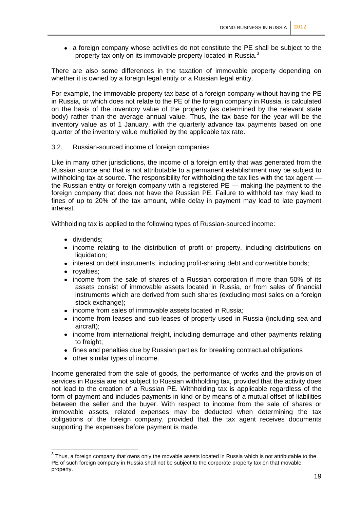a foreign company whose activities do not constitute the PE shall be subject to the property tax only on its immovable property located in Russia.<sup>3</sup>

There are also some differences in the taxation of immovable property depending on whether it is owned by a foreign legal entity or a Russian legal entity.

For example, the immovable property tax base of a foreign company without having the PE in Russia, or which does not relate to the PE of the foreign company in Russia, is calculated on the basis of the inventory value of the property (as determined by the relevant state body) rather than the average annual value. Thus, the tax base for the year will be the inventory value as of 1 January, with the quarterly advance tax payments based on one quarter of the inventory value multiplied by the applicable tax rate.

# 3.2. Russian-sourced income of foreign companies

Like in many other jurisdictions, the income of a foreign entity that was generated from the Russian source and that is not attributable to a permanent establishment may be subject to withholding tax at source. The responsibility for withholding the tax lies with the tax agent the Russian entity or foreign company with a registered PE — making the payment to the foreign company that does not have the Russian PE. Failure to withhold tax may lead to fines of up to 20% of the tax amount, while delay in payment may lead to late payment interest.

Withholding tax is applied to the following types of Russian-sourced income:

- dividends:
- income relating to the distribution of profit or property, including distributions on liquidation:
- interest on debt instruments, including profit-sharing debt and convertible bonds;
- royalties;
- income from the sale of shares of a Russian corporation if more than 50% of its assets consist of immovable assets located in Russia, or from sales of financial instruments which are derived from such shares (excluding most sales on a foreign stock exchange):
- income from sales of immovable assets located in Russia:
- income from leases and sub-leases of property used in Russia (including sea and aircraft);
- income from international freight, including demurrage and other payments relating to freight:
- fines and penalties due by Russian parties for breaking contractual obligations
- other similar types of income.

Income generated from the sale of goods, the performance of works and the provision of services in Russia are not subject to Russian withholding tax, provided that the activity does not lead to the creation of a Russian PE. Withholding tax is applicable regardless of the form of payment and includes payments in kind or by means of a mutual offset of liabilities between the seller and the buyer. With respect to income from the sale of shares or immovable assets, related expenses may be deducted when determining the tax obligations of the foreign company, provided that the tax agent receives documents supporting the expenses before payment is made.

 3 Thus, a foreign company that owns only the movable assets located in Russia which is not attributable to the PE of such foreign company in Russia shall not be subject to the corporate property tax on that movable property.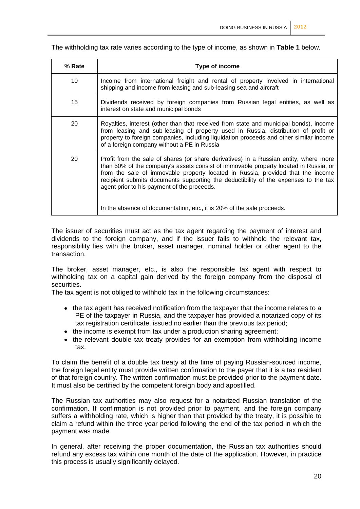The withholding tax rate varies according to the type of income, as shown in **Table 1** below.

| % Rate | Type of income                                                                                                                                                                                                                                                                                                                                                                                                                                                                   |
|--------|----------------------------------------------------------------------------------------------------------------------------------------------------------------------------------------------------------------------------------------------------------------------------------------------------------------------------------------------------------------------------------------------------------------------------------------------------------------------------------|
| 10     | Income from international freight and rental of property involved in international<br>shipping and income from leasing and sub-leasing sea and aircraft                                                                                                                                                                                                                                                                                                                          |
| 15     | Dividends received by foreign companies from Russian legal entities, as well as<br>interest on state and municipal bonds                                                                                                                                                                                                                                                                                                                                                         |
| 20     | Royalties, interest (other than that received from state and municipal bonds), income<br>from leasing and sub-leasing of property used in Russia, distribution of profit or<br>property to foreign companies, including liquidation proceeds and other similar income<br>of a foreign company without a PE in Russia                                                                                                                                                             |
| 20     | Profit from the sale of shares (or share derivatives) in a Russian entity, where more<br>than 50% of the company's assets consist of immovable property located in Russia, or<br>from the sale of immovable property located in Russia, provided that the income<br>recipient submits documents supporting the deductibility of the expenses to the tax<br>agent prior to his payment of the proceeds.<br>In the absence of documentation, etc., it is 20% of the sale proceeds. |

The issuer of securities must act as the tax agent regarding the payment of interest and dividends to the foreign company, and if the issuer fails to withhold the relevant tax, responsibility lies with the broker, asset manager, nominal holder or other agent to the transaction.

The broker, asset manager, etc., is also the responsible tax agent with respect to withholding tax on a capital gain derived by the foreign company from the disposal of securities.

The tax agent is not obliged to withhold tax in the following circumstances:

- the tax agent has received notification from the taxpayer that the income relates to a PE of the taxpayer in Russia, and the taxpayer has provided a notarized copy of its tax registration certificate, issued no earlier than the previous tax period;
- the income is exempt from tax under a production sharing agreement;
- the relevant double tax treaty provides for an exemption from withholding income tax.

To claim the benefit of a double tax treaty at the time of paying Russian-sourced income, the foreign legal entity must provide written confirmation to the payer that it is a tax resident of that foreign country. The written confirmation must be provided prior to the payment date. It must also be certified by the competent foreign body and apostilled.

The Russian tax authorities may also request for a notarized Russian translation of the confirmation. If confirmation is not provided prior to payment, and the foreign company suffers a withholding rate, which is higher than that provided by the treaty, it is possible to claim a refund within the three year period following the end of the tax period in which the payment was made.

In general, after receiving the proper documentation, the Russian tax authorities should refund any excess tax within one month of the date of the application. However, in practice this process is usually significantly delayed.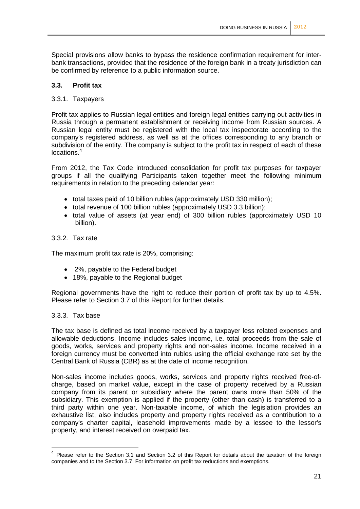Special provisions allow banks to bypass the residence confirmation requirement for interbank transactions, provided that the residence of the foreign bank in a treaty jurisdiction can be confirmed by reference to a public information source.

# **3.3. Profit tax**

#### 3.3.1. Taxpayers

Profit tax applies to Russian legal entities and foreign legal entities carrying out activities in Russia through a permanent establishment or receiving income from Russian sources. A Russian legal entity must be registered with the local tax inspectorate according to the company's registered address, as well as at the offices corresponding to any branch or subdivision of the entity. The company is subject to the profit tax in respect of each of these locations.<sup>4</sup>

From 2012, the Tax Code introduced consolidation for profit tax purposes for taxpayer groups if all the qualifying Participants taken together meet the following minimum requirements in relation to the preceding calendar year:

- total taxes paid of 10 billion rubles (approximately USD 330 million);
- total revenue of 100 billion rubles (approximately USD 3.3 billion);
- total value of assets (at year end) of 300 billion rubles (approximately USD 10 billion).

#### 3.3.2. Tax rate

The maximum profit tax rate is 20%, comprising:

- 2%, payable to the Federal budget
- 18%, payable to the Regional budget

Regional governments have the right to reduce their portion of profit tax by up to 4.5%. Please refer to Section 3.7 of this Report for further details.

# 3.3.3. Tax base

-

The tax base is defined as total income received by a taxpayer less related expenses and allowable deductions. Income includes sales income, i.e. total proceeds from the sale of goods, works, services and property rights and non-sales income. Income received in a foreign currency must be converted into rubles using the official exchange rate set by the Central Bank of Russia (CBR) as at the date of income recognition.

Non-sales income includes goods, works, services and property rights received free-ofcharge, based on market value, except in the case of property received by a Russian company from its parent or subsidiary where the parent owns more than 50% of the subsidiary. This exemption is applied if the property (other than cash) is transferred to a third party within one year. Non-taxable income, of which the legislation provides an exhaustive list, also includes property and property rights received as a contribution to a company's charter capital, leasehold improvements made by a lessee to the lessor's property, and interest received on overpaid tax.

<sup>&</sup>lt;sup>4</sup> Please refer to the Section 3.1 and Section 3.2 of this Report for details about the taxation of the foreign companies and to the Section 3.7. For information on profit tax reductions and exemptions.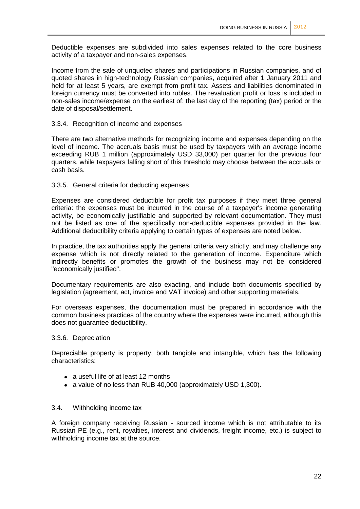Deductible expenses are subdivided into sales expenses related to the core business activity of a taxpayer and non-sales expenses.

Income from the sale of unquoted shares and participations in Russian companies, and of quoted shares in high-technology Russian companies, acquired after 1 January 2011 and held for at least 5 years, are exempt from profit tax. Assets and liabilities denominated in foreign currency must be converted into rubles. The revaluation profit or loss is included in non-sales income/expense on the earliest of: the last day of the reporting (tax) period or the date of disposal/settlement.

#### 3.3.4. Recognition of income and expenses

There are two alternative methods for recognizing income and expenses depending on the level of income. The accruals basis must be used by taxpayers with an average income exceeding RUB 1 million (approximately USD 33,000) per quarter for the previous four quarters, while taxpayers falling short of this threshold may choose between the accruals or cash basis.

#### 3.3.5. General criteria for deducting expenses

Expenses are considered deductible for profit tax purposes if they meet three general criteria: the expenses must be incurred in the course of a taxpayer's income generating activity, be economically justifiable and supported by relevant documentation. They must not be listed as one of the specifically non-deductible expenses provided in the law. Additional deductibility criteria applying to certain types of expenses are noted below.

In practice, the tax authorities apply the general criteria very strictly, and may challenge any expense which is not directly related to the generation of income. Expenditure which indirectly benefits or promotes the growth of the business may not be considered "economically justified".

Documentary requirements are also exacting, and include both documents specified by legislation (agreement, act, invoice and VAT invoice) and other supporting materials.

For overseas expenses, the documentation must be prepared in accordance with the common business practices of the country where the expenses were incurred, although this does not guarantee deductibility.

#### 3.3.6. Depreciation

Depreciable property is property, both tangible and intangible, which has the following characteristics:

- a useful life of at least 12 months
- a value of no less than RUB 40,000 (approximately USD 1,300).

#### 3.4. Withholding income tax

A foreign company receiving Russian - sourced income which is not attributable to its Russian PE (e.g., rent, royalties, interest and dividends, freight income, etc.) is subject to withholding income tax at the source.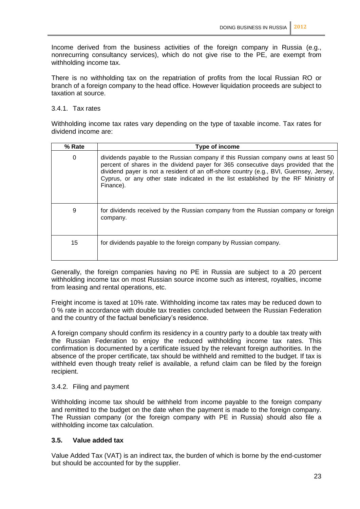Income derived from the business activities of the foreign company in Russia (e.g., nonrecurring consultancy services), which do not give rise to the PE, are exempt from withholding income tax.

There is no withholding tax on the repatriation of profits from the local Russian RO or branch of a foreign company to the head office. However liquidation proceeds are subject to taxation at source.

# 3.4.1. Tax rates

Withholding income tax rates vary depending on the type of taxable income. Tax rates for dividend income are:

| % Rate | Type of income                                                                                                                                                                                                                                                                                                                                                       |
|--------|----------------------------------------------------------------------------------------------------------------------------------------------------------------------------------------------------------------------------------------------------------------------------------------------------------------------------------------------------------------------|
| 0      | dividends payable to the Russian company if this Russian company owns at least 50<br>percent of shares in the dividend payer for 365 consecutive days provided that the<br>dividend payer is not a resident of an off-shore country (e.g., BVI, Guernsey, Jersey,<br>Cyprus, or any other state indicated in the list established by the RF Ministry of<br>Finance). |
| 9      | for dividends received by the Russian company from the Russian company or foreign<br>company.                                                                                                                                                                                                                                                                        |
| 15     | for dividends payable to the foreign company by Russian company.                                                                                                                                                                                                                                                                                                     |

Generally, the foreign companies having no PE in Russia are subject to a 20 percent withholding income tax on most Russian source income such as interest, royalties, income from leasing and rental operations, etc.

Freight income is taxed at 10% rate. Withholding income tax rates may be reduced down to 0 % rate in accordance with double tax treaties concluded between the Russian Federation and the country of the factual beneficiary's residence.

A foreign company should confirm its residency in a country party to a double tax treaty with the Russian Federation to enjoy the reduced withholding income tax rates. This confirmation is documented by a certificate issued by the relevant foreign authorities. In the absence of the proper certificate, tax should be withheld and remitted to the budget. If tax is withheld even though treaty relief is available, a refund claim can be filed by the foreign recipient.

# 3.4.2. Filing and payment

Withholding income tax should be withheld from income payable to the foreign company and remitted to the budget on the date when the payment is made to the foreign company. The Russian company (or the foreign company with PE in Russia) should also file a withholding income tax calculation.

# **3.5. Value added tax**

Value Added Tax (VAT) is an indirect tax, the burden of which is borne by the end-customer but should be accounted for by the supplier.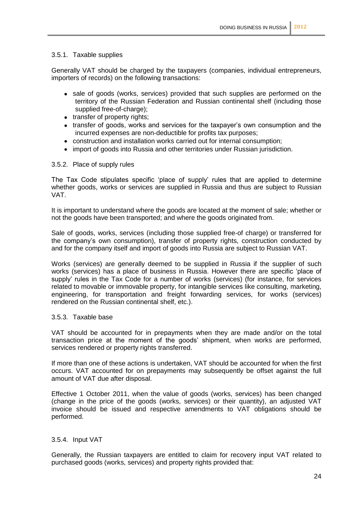# 3.5.1. Taxable supplies

Generally VAT should be charged by the taxpayers (companies, individual entrepreneurs, importers of records) on the following transactions:

- sale of goods (works, services) provided that such supplies are performed on the territory of the Russian Federation and Russian continental shelf (including those supplied free-of-charge);
- transfer of property rights;
- transfer of goods, works and services for the taxpayer's own consumption and the incurred expenses are non-deductible for profits tax purposes;
- construction and installation works carried out for internal consumption;
- import of goods into Russia and other territories under Russian jurisdiction.

#### 3.5.2. Place of supply rules

The Tax Code stipulates specific 'place of supply' rules that are applied to determine whether goods, works or services are supplied in Russia and thus are subject to Russian VAT.

It is important to understand where the goods are located at the moment of sale; whether or not the goods have been transported; and where the goods originated from.

Sale of goods, works, services (including those supplied free-of charge) or transferred for the company's own consumption), transfer of property rights, construction conducted by and for the company itself and import of goods into Russia are subject to Russian VAT.

Works (services) are generally deemed to be supplied in Russia if the supplier of such works (services) has a place of business in Russia. However there are specific 'place of supply' rules in the Tax Code for a number of works (services) (for instance, for services related to movable or immovable property, for intangible services like consulting, marketing, engineering, for transportation and freight forwarding services, for works (services) rendered on the Russian continental shelf, etc.).

# 3.5.3. Taxable base

VAT should be accounted for in prepayments when they are made and/or on the total transaction price at the moment of the goods' shipment, when works are performed, services rendered or property rights transferred.

If more than one of these actions is undertaken, VAT should be accounted for when the first occurs. VAT accounted for on prepayments may subsequently be offset against the full amount of VAT due after disposal.

Effective 1 October 2011, when the value of goods (works, services) has been changed (change in the price of the goods (works, services) or their quantity), an adjusted VAT invoice should be issued and respective amendments to VAT obligations should be performed.

#### 3.5.4. Input VAT

Generally, the Russian taxpayers are entitled to claim for recovery input VAT related to purchased goods (works, services) and property rights provided that: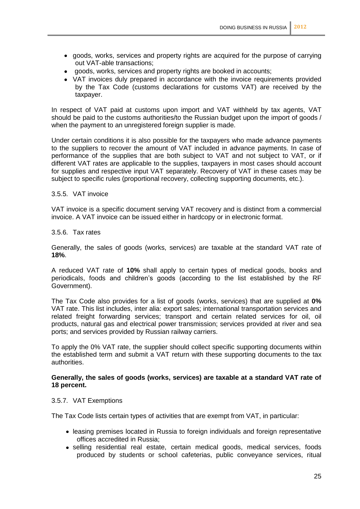- goods, works, services and property rights are acquired for the purpose of carrying out VAT-able transactions;
- goods, works, services and property rights are booked in accounts;
- VAT invoices duly prepared in accordance with the invoice requirements provided by the Tax Code (customs declarations for customs VAT) are received by the taxpayer.

In respect of VAT paid at customs upon import and VAT withheld by tax agents, VAT should be paid to the customs authorities/to the Russian budget upon the import of goods / when the payment to an unregistered foreign supplier is made.

Under certain conditions it is also possible for the taxpayers who made advance payments to the suppliers to recover the amount of VAT included in advance payments. In case of performance of the supplies that are both subject to VAT and not subject to VAT, or if different VAT rates are applicable to the supplies, taxpayers in most cases should account for supplies and respective input VAT separately. Recovery of VAT in these cases may be subject to specific rules (proportional recovery, collecting supporting documents, etc.).

#### 3.5.5. VAT invoice

VAT invoice is a specific document serving VAT recovery and is distinct from a commercial invoice. A VAT invoice can be issued either in hardcopy or in electronic format.

#### 3.5.6. Tax rates

Generally, the sales of goods (works, services) are taxable at the standard VAT rate of **18%**.

A reduced VAT rate of **10%** shall apply to certain types of medical goods, books and periodicals, foods and children's goods (according to the list established by the RF Government).

The Tax Code also provides for a list of goods (works, services) that are supplied at **0%** VAT rate. This list includes, inter alia: export sales; international transportation services and related freight forwarding services; transport and certain related services for oil, oil products, natural gas and electrical power transmission; services provided at river and sea ports; and services provided by Russian railway carriers.

To apply the 0% VAT rate, the supplier should collect specific supporting documents within the established term and submit a VAT return with these supporting documents to the tax authorities.

# **Generally, the sales of goods (works, services) are taxable at a standard VAT rate of 18 percent.**

#### 3.5.7. VAT Exemptions

The Tax Code lists certain types of activities that are exempt from VAT, in particular:

- leasing premises located in Russia to foreign individuals and foreign representative offices accredited in Russia;
- selling residential real estate, certain medical goods, medical services, foods produced by students or school cafeterias, public conveyance services, ritual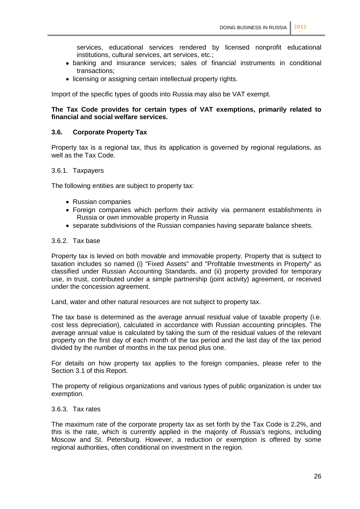services, educational services rendered by licensed nonprofit educational institutions, cultural services, art services, etc.;

- banking and insurance services; sales of financial instruments in conditional transactions;
- licensing or assigning certain intellectual property rights.

Import of the specific types of goods into Russia may also be VAT exempt.

# **The Tax Code provides for certain types of VAT exemptions, primarily related to financial and social welfare services.**

#### **3.6. Corporate Property Tax**

Property tax is a regional tax, thus its application is governed by regional regulations, as well as the Tax Code.

#### 3.6.1. Taxpayers

The following entities are subject to property tax:

- Russian companies
- Foreign companies which perform their activity via permanent establishments in Russia or own immovable property in Russia
- separate subdivisions of the Russian companies having separate balance sheets.

#### 3.6.2. Tax base

Property tax is levied on both movable and immovable property. Property that is subject to taxation includes so named (i) "Fixed Assets" and "Profitable Investments in Property" as classified under Russian Accounting Standards, and (ii) property provided for temporary use, in trust, contributed under a simple partnership (joint activity) agreement, or received under the concession agreement.

Land, water and other natural resources are not subject to property tax.

The tax base is determined as the average annual residual value of taxable property (i.e. cost less depreciation), calculated in accordance with Russian accounting principles. The average annual value is calculated by taking the sum of the residual values of the relevant property on the first day of each month of the tax period and the last day of the tax period divided by the number of months in the tax period plus one.

For details on how property tax applies to the foreign companies, please refer to the Section 3.1 of this Report.

The property of religious organizations and various types of public organization is under tax exemption.

#### 3.6.3. Tax rates

The maximum rate of the corporate property tax as set forth by the Tax Code is 2.2%, and this is the rate, which is currently applied in the majority of Russia's regions, including Moscow and St. Petersburg. However, a reduction or exemption is offered by some regional authorities, often conditional on investment in the region.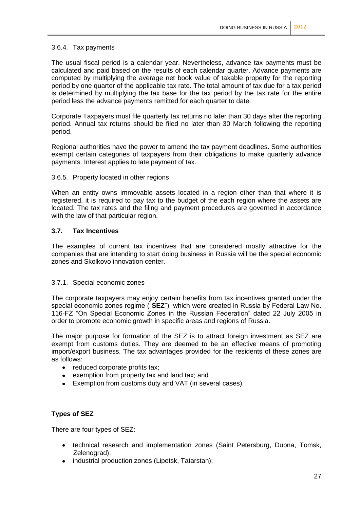# 3.6.4. Tax payments

The usual fiscal period is a calendar year. Nevertheless, advance tax payments must be calculated and paid based on the results of each calendar quarter. Advance payments are computed by multiplying the average net book value of taxable property for the reporting period by one quarter of the applicable tax rate. The total amount of tax due for a tax period is determined by multiplying the tax base for the tax period by the tax rate for the entire period less the advance payments remitted for each quarter to date.

Corporate Taxpayers must file quarterly tax returns no later than 30 days after the reporting period. Annual tax returns should be filed no later than 30 March following the reporting period.

Regional authorities have the power to amend the tax payment deadlines. Some authorities exempt certain categories of taxpayers from their obligations to make quarterly advance payments. Interest applies to late payment of tax.

# 3.6.5. Property located in other regions

When an entity owns immovable assets located in a region other than that where it is registered, it is required to pay tax to the budget of the each region where the assets are located. The tax rates and the filing and payment procedures are governed in accordance with the law of that particular region.

# **3.7. Tax Incentives**

The examples of current tax incentives that are considered mostly attractive for the companies that are intending to start doing business in Russia will be the special economic zones and Skolkovo innovation center.

#### 3.7.1. Special economic zones

The corporate taxpayers may enjoy certain benefits from tax incentives granted under the special economic zones regime ("**SEZ**"), which were created in Russia by Federal Law No. 116-FZ "On Special Economic Zones in the Russian Federation" dated 22 July 2005 in order to promote economic growth in specific areas and regions of Russia.

The major purpose for formation of the SEZ is to attract foreign investment as SEZ are exempt from customs duties. They are deemed to be an effective means of promoting import/export business. The tax advantages provided for the residents of these zones are as follows:

- reduced corporate profits tax:
- exemption from property tax and land tax; and
- Exemption from customs duty and VAT (in several cases).

# **Types of SEZ**

There are four types of SEZ:

- technical research and implementation zones (Saint Petersburg, Dubna, Tomsk, Zelenograd);
- industrial production zones (Lipetsk, Tatarstan);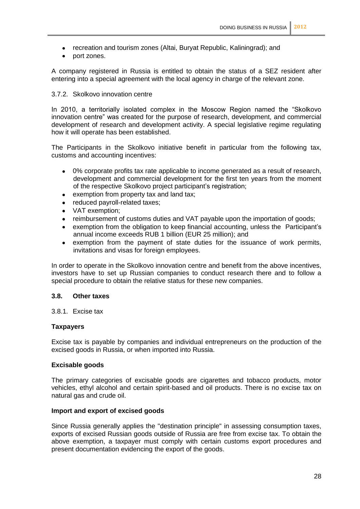- recreation and tourism zones (Altai, Buryat Republic, Kaliningrad); and
- port zones.

A company registered in Russia is entitled to obtain the status of a SEZ resident after entering into a special agreement with the local agency in charge of the relevant zone.

# 3.7.2. Skolkovo innovation centre

In 2010, a territorially isolated complex in the Moscow Region named the "Skolkovo innovation centre" was created for the purpose of research, development, and commercial development of research and development activity. A special legislative regime regulating how it will operate has been established.

The Participants in the Skolkovo initiative benefit in particular from the following tax, customs and accounting incentives:

- 0% corporate profits tax rate applicable to income generated as a result of research,  $\bullet$ development and commercial development for the first ten years from the moment of the respective Skolkovo project participant's registration;
- exemption from property tax and land tax;  $\bullet$
- reduced payroll-related taxes;
- VAT exemption;  $\bullet$
- reimbursement of customs duties and VAT payable upon the importation of goods;
- $\bullet$ exemption from the obligation to keep financial accounting, unless the Participant's annual income exceeds RUB 1 billion (EUR 25 million); and
- exemption from the payment of state duties for the issuance of work permits, invitations and visas for foreign employees.

In order to operate in the Skolkovo innovation centre and benefit from the above incentives, investors have to set up Russian companies to conduct research there and to follow a special procedure to obtain the relative status for these new companies.

#### **3.8. Other taxes**

3.8.1. Excise tax

#### **Taxpayers**

Excise tax is payable by companies and individual entrepreneurs on the production of the excised goods in Russia, or when imported into Russia.

#### **Excisable goods**

The primary categories of excisable goods are cigarettes and tobacco products, motor vehicles, ethyl alcohol and certain spirit-based and oil products. There is no excise tax on natural gas and crude oil.

#### **Import and export of excised goods**

Since Russia generally applies the "destination principle" in assessing consumption taxes, exports of excised Russian goods outside of Russia are free from excise tax. To obtain the above exemption, a taxpayer must comply with certain customs export procedures and present documentation evidencing the export of the goods.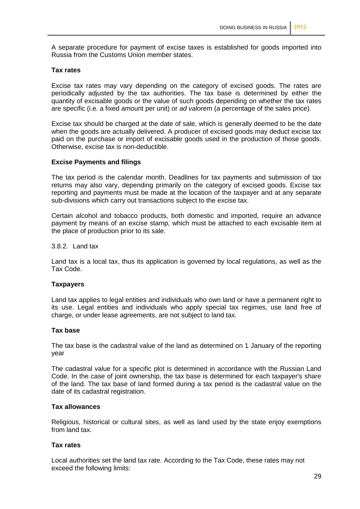A separate procedure for payment of excise taxes is established for goods imported into Russia from the Customs Union member states.

#### **Tax rates**

Excise tax rates may vary depending on the category of excised goods. The rates are periodically adjusted by the tax authorities. The tax base is determined by either the quantity of excisable goods or the value of such goods depending on whether the tax rates are specific (i.e. a fixed amount per unit) or *ad valorem* (a percentage of the sales price).

Excise tax should be charged at the date of sale, which is generally deemed to be the date when the goods are actually delivered. A producer of excised goods may deduct excise tax paid on the purchase or import of excisable goods used in the production of those goods. Otherwise, excise tax is non-deductible.

#### **Excise Payments and filings**

The tax period is the calendar month. Deadlines for tax payments and submission of tax returns may also vary, depending primarily on the category of excised goods. Excise tax reporting and payments must be made at the location of the taxpayer and at any separate sub-divisions which carry out transactions subject to the excise tax.

Certain alcohol and tobacco products, both domestic and imported, require an advance payment by means of an excise stamp, which must be attached to each excisable item at the place of production prior to its sale.

#### 3.8.2. Land tax

Land tax is a local tax, thus its application is governed by local regulations, as well as the Tax Code.

#### **Taxpayers**

Land tax applies to legal entities and individuals who own land or have a permanent right to its use. Legal entities and individuals who apply special tax regimes, use land free of charge, or under lease agreements, are not subject to land tax.

#### **Tax base**

The tax base is the cadastral value of the land as determined on 1 January of the reporting year

The cadastral value for a specific plot is determined in accordance with the Russian Land Code. In the case of joint ownership, the tax base is determined for each taxpayer's share of the land. The tax base of land formed during a tax period is the cadastral value on the date of its cadastral registration.

#### **Tax allowances**

Religious, historical or cultural sites, as well as land used by the state enjoy exemptions from land tax.

#### **Tax rates**

Local authorities set the land tax rate. According to the Tax Code, these rates may not exceed the following limits: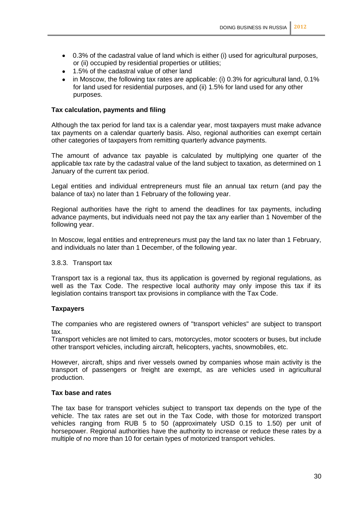- 0.3% of the cadastral value of land which is either (i) used for agricultural purposes, or (ii) occupied by residential properties or utilities;
- 1.5% of the cadastral value of other land
- in Moscow, the following tax rates are applicable: (i) 0.3% for agricultural land, 0.1% for land used for residential purposes, and (ii) 1.5% for land used for any other purposes.

# **Tax calculation, payments and filing**

Although the tax period for land tax is a calendar year, most taxpayers must make advance tax payments on a calendar quarterly basis. Also, regional authorities can exempt certain other categories of taxpayers from remitting quarterly advance payments.

The amount of advance tax payable is calculated by multiplying one quarter of the applicable tax rate by the cadastral value of the land subject to taxation, as determined on 1 January of the current tax period.

Legal entities and individual entrepreneurs must file an annual tax return (and pay the balance of tax) no later than 1 February of the following year.

Regional authorities have the right to amend the deadlines for tax payments, including advance payments, but individuals need not pay the tax any earlier than 1 November of the following year.

In Moscow, legal entities and entrepreneurs must pay the land tax no later than 1 February, and individuals no later than 1 December, of the following year.

#### 3.8.3. Transport tax

Transport tax is a regional tax, thus its application is governed by regional regulations, as well as the Tax Code. The respective local authority may only impose this tax if its legislation contains transport tax provisions in compliance with the Tax Code.

#### **Taxpayers**

The companies who are registered owners of "transport vehicles" are subject to transport tax.

Transport vehicles are not limited to cars, motorcycles, motor scooters or buses, but include other transport vehicles, including aircraft, helicopters, yachts, snowmobiles, etc.

However, aircraft, ships and river vessels owned by companies whose main activity is the transport of passengers or freight are exempt, as are vehicles used in agricultural production.

#### **Tax base and rates**

The tax base for transport vehicles subject to transport tax depends on the type of the vehicle. The tax rates are set out in the Tax Code, with those for motorized transport vehicles ranging from RUB 5 to 50 (approximately USD 0.15 to 1.50) per unit of horsepower. Regional authorities have the authority to increase or reduce these rates by a multiple of no more than 10 for certain types of motorized transport vehicles.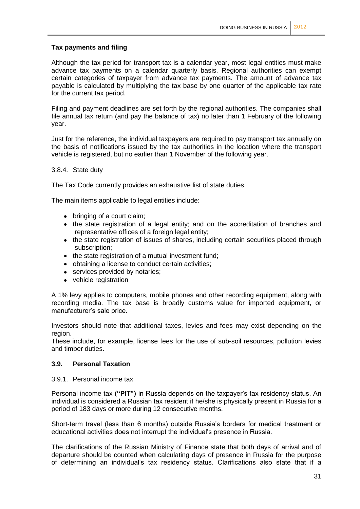# **Tax payments and filing**

Although the tax period for transport tax is a calendar year, most legal entities must make advance tax payments on a calendar quarterly basis. Regional authorities can exempt certain categories of taxpayer from advance tax payments. The amount of advance tax payable is calculated by multiplying the tax base by one quarter of the applicable tax rate for the current tax period.

Filing and payment deadlines are set forth by the regional authorities. The companies shall file annual tax return (and pay the balance of tax) no later than 1 February of the following year.

Just for the reference, the individual taxpayers are required to pay transport tax annually on the basis of notifications issued by the tax authorities in the location where the transport vehicle is registered, but no earlier than 1 November of the following year.

#### 3.8.4. State duty

The Tax Code currently provides an exhaustive list of state duties.

The main items applicable to legal entities include:

- bringing of a court claim;
- the state registration of a legal entity; and on the accreditation of branches and representative offices of a foreign legal entity;
- the state registration of issues of shares, including certain securities placed through subscription;
- the state registration of a mutual investment fund;
- obtaining a license to conduct certain activities;
- services provided by notaries;
- vehicle registration

A 1% levy applies to computers, mobile phones and other recording equipment, along with recording media. The tax base is broadly customs value for imported equipment, or manufacturer's sale price.

Investors should note that additional taxes, levies and fees may exist depending on the region.

These include, for example, license fees for the use of sub-soil resources, pollution levies and timber duties.

#### **3.9. Personal Taxation**

3.9.1. Personal income tax

Personal income tax **("PIT")** in Russia depends on the taxpayer's tax residency status. An individual is considered a Russian tax resident if he/she is physically present in Russia for a period of 183 days or more during 12 consecutive months.

Short-term travel (less than 6 months) outside Russia's borders for medical treatment or educational activities does not interrupt the individual's presence in Russia.

The clarifications of the Russian Ministry of Finance state that both days of arrival and of departure should be counted when calculating days of presence in Russia for the purpose of determining an individual's tax residency status. Clarifications also state that if a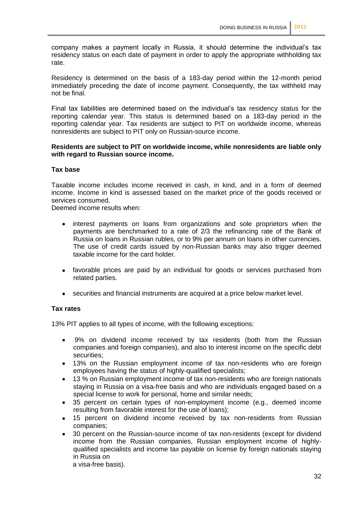company makes a payment locally in Russia, it should determine the individual's tax residency status on each date of payment in order to apply the appropriate withholding tax rate.

Residency is determined on the basis of a 183-day period within the 12-month period immediately preceding the date of income payment. Consequently, the tax withheld may not be final.

Final tax liabilities are determined based on the individual's tax residency status for the reporting calendar year. This status is determined based on a 183-day period in the reporting calendar year. Tax residents are subject to PIT on worldwide income, whereas nonresidents are subject to PIT only on Russian-source income.

# **Residents are subject to PIT on worldwide income, while nonresidents are liable only with regard to Russian source income.**

#### **Tax base**

Taxable income includes income received in cash, in kind, and in a form of deemed income. Income in kind is assessed based on the market price of the goods received or services consumed.

Deemed income results when:

- interest payments on loans from organizations and sole proprietors when the payments are benchmarked to a rate of 2/3 the refinancing rate of the Bank of Russia on loans in Russian rubles, or to 9% per annum on loans in other currencies. The use of credit cards issued by non-Russian banks may also trigger deemed taxable income for the card holder.
- favorable prices are paid by an individual for goods or services purchased from related parties.
- securities and financial instruments are acquired at a price below market level.

# **Tax rates**

13% PIT applies to all types of income, with the following exceptions:

- 9% on dividend income received by tax residents (both from the Russian  $\bullet$ companies and foreign companies), and also to interest income on the specific debt securities;
- 13% on the Russian employment income of tax non-residents who are foreign  $\bullet$ employees having the status of highly-qualified specialists;
- 13 % on Russian employment income of tax non-residents who are foreign nationals staying in Russia on a visa-free basis and who are individuals engaged based on a special license to work for personal, home and similar needs;
- 35 percent on certain types of non-employment income (e.g., deemed income resulting from favorable interest for the use of loans);
- 15 percent on dividend income received by tax non-residents from Russian companies;
- 30 percent on the Russian-source income of tax non-residents (except for dividend income from the Russian companies, Russian employment income of highlyqualified specialists and income tax payable on license by foreign nationals staying in Russia on

a visa-free basis).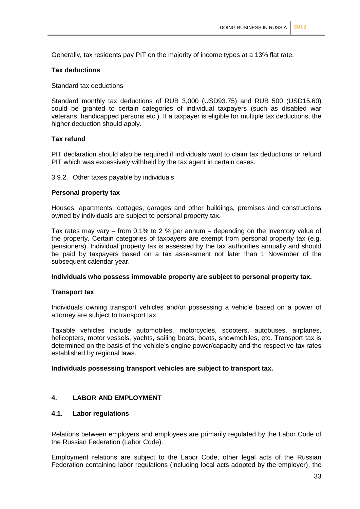Generally, tax residents pay PIT on the majority of income types at a 13% flat rate.

# **Tax deductions**

Standard tax deductions

Standard monthly tax deductions of RUB 3,000 (USD93.75) and RUB 500 (USD15.60) could be granted to certain categories of individual taxpayers (such as disabled war veterans, handicapped persons etc.). If a taxpayer is eligible for multiple tax deductions, the higher deduction should apply.

# **Tax refund**

PIT declaration should also be required if individuals want to claim tax deductions or refund PIT which was excessively withheld by the tax agent in certain cases.

#### 3.9.2. Other taxes payable by individuals

#### **Personal property tax**

Houses, apartments, cottages, garages and other buildings, premises and constructions owned by individuals are subject to personal property tax.

Tax rates may vary – from 0.1% to 2 % per annum – depending on the inventory value of the property. Certain categories of taxpayers are exempt from personal property tax (e.g. pensioners). Individual property tax is assessed by the tax authorities annually and should be paid by taxpayers based on a tax assessment not later than 1 November of the subsequent calendar year.

#### **Individuals who possess immovable property are subject to personal property tax.**

#### **Transport tax**

Individuals owning transport vehicles and/or possessing a vehicle based on a power of attorney are subject to transport tax.

Taxable vehicles include automobiles, motorcycles, scooters, autobuses, airplanes, helicopters, motor vessels, yachts, sailing boats, boats, snowmobiles, etc. Transport tax is determined on the basis of the vehicle's engine power/capacity and the respective tax rates established by regional laws.

#### **Individuals possessing transport vehicles are subject to transport tax.**

# **4. LABOR AND EMPLOYMENT**

# **4.1. Labor regulations**

Relations between employers and employees are primarily regulated by the Labor Code of the Russian Federation (Labor Code).

Employment relations are subject to the Labor Code, other legal acts of the Russian Federation containing labor regulations (including local acts adopted by the employer), the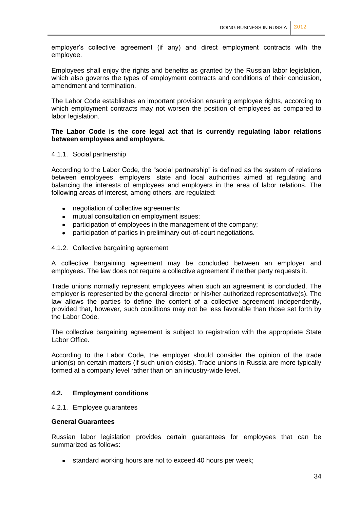employer's collective agreement (if any) and direct employment contracts with the employee.

Employees shall enjoy the rights and benefits as granted by the Russian labor legislation, which also governs the types of employment contracts and conditions of their conclusion, amendment and termination.

The Labor Code establishes an important provision ensuring employee rights, according to which employment contracts may not worsen the position of employees as compared to labor legislation.

# **The Labor Code is the core legal act that is currently regulating labor relations between employees and employers.**

#### 4.1.1. Social partnership

According to the Labor Code, the "social partnership" is defined as the system of relations between employees, employers, state and local authorities aimed at regulating and balancing the interests of employees and employers in the area of labor relations. The following areas of interest, among others, are regulated:

- negotiation of collective agreements;
- mutual consultation on employment issues;
- $\bullet$ participation of employees in the management of the company;
- participation of parties in preliminary out-of-court negotiations.

#### 4.1.2. Collective bargaining agreement

A collective bargaining agreement may be concluded between an employer and employees. The law does not require a collective agreement if neither party requests it.

Trade unions normally represent employees when such an agreement is concluded. The employer is represented by the general director or his/her authorized representative(s). The law allows the parties to define the content of a collective agreement independently, provided that, however, such conditions may not be less favorable than those set forth by the Labor Code.

The collective bargaining agreement is subject to registration with the appropriate State Labor Office.

According to the Labor Code, the employer should consider the opinion of the trade union(s) on certain matters (if such union exists). Trade unions in Russia are more typically formed at a company level rather than on an industry-wide level.

# **4.2. Employment conditions**

#### 4.2.1. Employee guarantees

#### **General Guarantees**

Russian labor legislation provides certain guarantees for employees that can be summarized as follows:

• standard working hours are not to exceed 40 hours per week;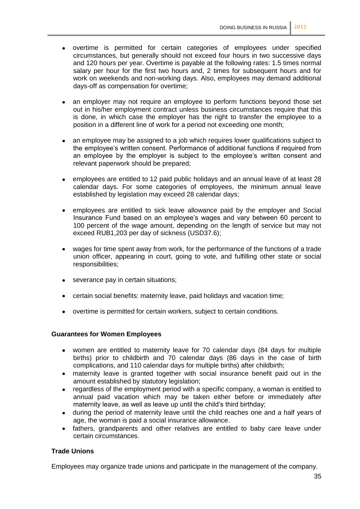- overtime is permitted for certain categories of employees under specified circumstances, but generally should not exceed four hours in two successive days and 120 hours per year. Overtime is payable at the following rates: 1.5 times normal salary per hour for the first two hours and, 2 times for subsequent hours and for work on weekends and non-working days. Also, employees may demand additional days-off as compensation for overtime;
- an employer may not require an employee to perform functions beyond those set out in his/her employment contract unless business circumstances require that this is done, in which case the employer has the right to transfer the employee to a position in a different line of work for a period not exceeding one month;
- an employee may be assigned to a job which requires lower qualifications subject to the employee's written consent. Performance of additional functions if required from an employee by the employer is subject to the employee's written consent and relevant paperwork should be prepared;
- employees are entitled to 12 paid public holidays and an annual leave of at least 28 calendar days. For some categories of employees, the minimum annual leave established by legislation may exceed 28 calendar days;
- employees are entitled to sick leave allowance paid by the employer and Social Insurance Fund based on an employee's wages and vary between 60 percent to 100 percent of the wage amount, depending on the length of service but may not exceed RUB1,203 per day of sickness (USD37.6);
- wages for time spent away from work, for the performance of the functions of a trade union officer, appearing in court, going to vote, and fulfilling other state or social responsibilities;
- severance pay in certain situations;
- certain social benefits: maternity leave, paid holidays and vacation time;
- overtime is permitted for certain workers, subject to certain conditions.

#### **Guarantees for Women Employees**

- women are entitled to maternity leave for 70 calendar days (84 days for multiple births) prior to childbirth and 70 calendar days (86 days in the case of birth complications, and 110 calendar days for multiple births) after childbirth;
- maternity leave is granted together with social insurance benefit paid out in the amount established by statutory legislation;
- regardless of the employment period with a specific company, a woman is entitled to  $\bullet$ annual paid vacation which may be taken either before or immediately after maternity leave, as well as leave up until the child's third birthday;
- during the period of maternity leave until the child reaches one and a half years of age, the woman is paid a social insurance allowance.
- fathers, grandparents and other relatives are entitled to baby care leave under certain circumstances.

# **Trade Unions**

Employees may organize trade unions and participate in the management of the company.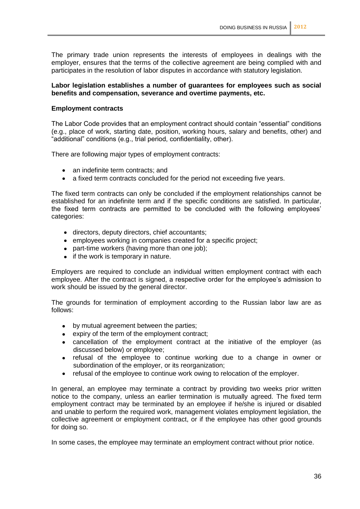The primary trade union represents the interests of employees in dealings with the employer, ensures that the terms of the collective agreement are being complied with and participates in the resolution of labor disputes in accordance with statutory legislation.

#### **Labor legislation establishes a number of guarantees for employees such as social benefits and compensation, severance and overtime payments, etc.**

#### **Employment contracts**

The Labor Code provides that an employment contract should contain "essential" conditions (e.g., place of work, starting date, position, working hours, salary and benefits, other) and "additional" conditions (e.g., trial period, confidentiality, other).

There are following major types of employment contracts:

- an indefinite term contracts; and
- a fixed term contracts concluded for the period not exceeding five years.

The fixed term contracts can only be concluded if the employment relationships cannot be established for an indefinite term and if the specific conditions are satisfied. In particular, the fixed term contracts are permitted to be concluded with the following employees' categories:

- directors, deputy directors, chief accountants;
- employees working in companies created for a specific project;
- part-time workers (having more than one job);
- $\bullet$  if the work is temporary in nature.

Employers are required to conclude an individual written employment contract with each employee. After the contract is signed, a respective order for the employee's admission to work should be issued by the general director.

The grounds for termination of employment according to the Russian labor law are as follows:

- by mutual agreement between the parties;
- expiry of the term of the employment contract;
- cancellation of the employment contract at the initiative of the employer (as discussed below) or employee;
- refusal of the employee to continue working due to a change in owner or subordination of the employer, or its reorganization;
- refusal of the employee to continue work owing to relocation of the employer.

In general, an employee may terminate a contract by providing two weeks prior written notice to the company, unless an earlier termination is mutually agreed. The fixed term employment contract may be terminated by an employee if he/she is injured or disabled and unable to perform the required work, management violates employment legislation, the collective agreement or employment contract, or if the employee has other good grounds for doing so.

In some cases, the employee may terminate an employment contract without prior notice.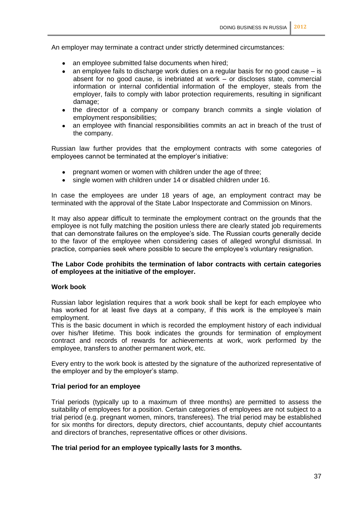An employer may terminate a contract under strictly determined circumstances:

- an employee submitted false documents when hired;
- an employee fails to discharge work duties on a regular basis for no good cause  $-$  is  $\bullet$ absent for no good cause, is inebriated at work – or discloses state, commercial information or internal confidential information of the employer, steals from the employer, fails to comply with labor protection requirements, resulting in significant damage;
- the director of a company or company branch commits a single violation of employment responsibilities;
- an employee with financial responsibilities commits an act in breach of the trust of  $\bullet$ the company.

Russian law further provides that the employment contracts with some categories of employees cannot be terminated at the employer's initiative:

- pregnant women or women with children under the age of three;
- single women with children under 14 or disabled children under 16.  $\bullet$

In case the employees are under 18 years of age, an employment contract may be terminated with the approval of the State Labor Inspectorate and Commission on Minors.

It may also appear difficult to terminate the employment contract on the grounds that the employee is not fully matching the position unless there are clearly stated job requirements that can demonstrate failures on the employee's side. The Russian courts generally decide to the favor of the employee when considering cases of alleged wrongful dismissal. In practice, companies seek where possible to secure the employee's voluntary resignation.

# **The Labor Code prohibits the termination of labor contracts with certain categories of employees at the initiative of the employer.**

#### **Work book**

Russian labor legislation requires that a work book shall be kept for each employee who has worked for at least five days at a company, if this work is the employee's main employment.

This is the basic document in which is recorded the employment history of each individual over his/her lifetime. This book indicates the grounds for termination of employment contract and records of rewards for achievements at work, work performed by the employee, transfers to another permanent work, etc.

Every entry to the work book is attested by the signature of the authorized representative of the employer and by the employer's stamp.

#### **Trial period for an employee**

Trial periods (typically up to a maximum of three months) are permitted to assess the suitability of employees for a position. Certain categories of employees are not subject to a trial period (e.g. pregnant women, minors, transferees). The trial period may be established for six months for directors, deputy directors, chief accountants, deputy chief accountants and directors of branches, representative offices or other divisions.

#### **The trial period for an employee typically lasts for 3 months.**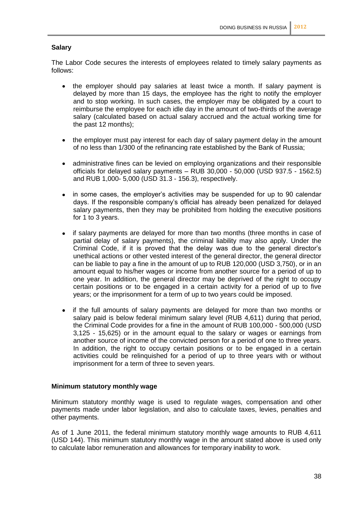# **Salary**

The Labor Code secures the interests of employees related to timely salary payments as follows:

- the employer should pay salaries at least twice a month. If salary payment is delayed by more than 15 days, the employee has the right to notify the employer and to stop working. In such cases, the employer may be obligated by a court to reimburse the employee for each idle day in the amount of two-thirds of the average salary (calculated based on actual salary accrued and the actual working time for the past 12 months);
- the employer must pay interest for each day of salary payment delay in the amount of no less than 1/300 of the refinancing rate established by the Bank of Russia;
- administrative fines can be levied on employing organizations and their responsible officials for delayed salary payments – RUB 30,000 - 50,000 (USD 937.5 - 1562.5) and RUB 1,000- 5,000 (USD 31.3 - 156.3), respectively.
- in some cases, the employer's activities may be suspended for up to 90 calendar days. If the responsible company's official has already been penalized for delayed salary payments, then they may be prohibited from holding the executive positions for 1 to 3 years.
- if salary payments are delayed for more than two months (three months in case of partial delay of salary payments), the criminal liability may also apply. Under the Criminal Code, if it is proved that the delay was due to the general director's unethical actions or other vested interest of the general director, the general director can be liable to pay a fine in the amount of up to RUB 120,000 (USD 3,750), or in an amount equal to his/her wages or income from another source for a period of up to one year. In addition, the general director may be deprived of the right to occupy certain positions or to be engaged in a certain activity for a period of up to five years; or the imprisonment for a term of up to two years could be imposed.
- if the full amounts of salary payments are delayed for more than two months or salary paid is below federal minimum salary level (RUB 4,611) during that period, the Criminal Code provides for a fine in the amount of RUB 100,000 - 500,000 (USD 3,125 - 15,625) or in the amount equal to the salary or wages or earnings from another source of income of the convicted person for a period of one to three years. In addition, the right to occupy certain positions or to be engaged in a certain activities could be relinquished for a period of up to three years with or without imprisonment for a term of three to seven years.

#### **Minimum statutory monthly wage**

Minimum statutory monthly wage is used to regulate wages, compensation and other payments made under labor legislation, and also to calculate taxes, levies, penalties and other payments.

As of 1 June 2011, the federal minimum statutory monthly wage amounts to RUB 4,611 (USD 144). This minimum statutory monthly wage in the amount stated above is used only to calculate labor remuneration and allowances for temporary inability to work.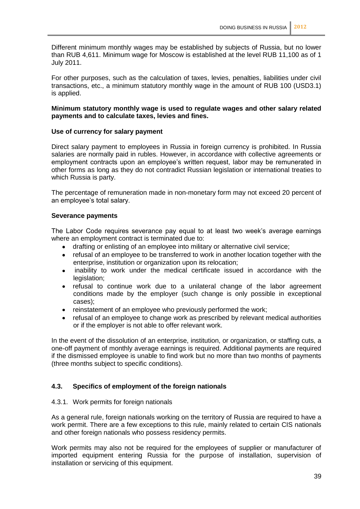Different minimum monthly wages may be established by subjects of Russia, but no lower than RUB 4,611. Minimum wage for Moscow is established at the level RUB 11,100 as of 1 July 2011.

For other purposes, such as the calculation of taxes, levies, penalties, liabilities under civil transactions, etc., a minimum statutory monthly wage in the amount of RUB 100 (USD3.1) is applied.

#### **Minimum statutory monthly wage is used to regulate wages and other salary related payments and to calculate taxes, levies and fines.**

#### **Use of currency for salary payment**

Direct salary payment to employees in Russia in foreign currency is prohibited. In Russia salaries are normally paid in rubles. However, in accordance with collective agreements or employment contracts upon an employee's written request, labor may be remunerated in other forms as long as they do not contradict Russian legislation or international treaties to which Russia is party.

The percentage of remuneration made in non-monetary form may not exceed 20 percent of an employee's total salary.

#### **Severance payments**

The Labor Code requires severance pay equal to at least two week's average earnings where an employment contract is terminated due to:

- drafting or enlisting of an employee into military or alternative civil service;
- refusal of an employee to be transferred to work in another location together with the  $\bullet$ enterprise, institution or organization upon its relocation;
- inability to work under the medical certificate issued in accordance with the  $\bullet$ legislation:
- refusal to continue work due to a unilateral change of the labor agreement conditions made by the employer (such change is only possible in exceptional cases);
- reinstatement of an employee who previously performed the work;
- refusal of an employee to change work as prescribed by relevant medical authorities or if the employer is not able to offer relevant work.

In the event of the dissolution of an enterprise, institution, or organization, or staffing cuts, a one-off payment of monthly average earnings is required. Additional payments are required if the dismissed employee is unable to find work but no more than two months of payments (three months subject to specific conditions).

# **4.3. Specifics of employment of the foreign nationals**

#### 4.3.1. Work permits for foreign nationals

As a general rule, foreign nationals working on the territory of Russia are required to have a work permit. There are a few exceptions to this rule, mainly related to certain CIS nationals and other foreign nationals who possess residency permits.

Work permits may also not be required for the employees of supplier or manufacturer of imported equipment entering Russia for the purpose of installation, supervision of installation or servicing of this equipment.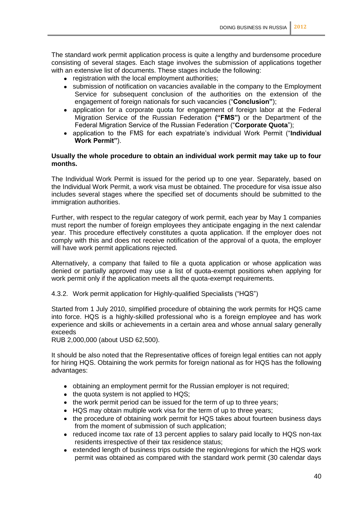The standard work permit application process is quite a lengthy and burdensome procedure consisting of several stages. Each stage involves the submission of applications together with an extensive list of documents. These stages include the following:

- registration with the local employment authorities;
- submission of notification on vacancies available in the company to the Employment Service for subsequent conclusion of the authorities on the extension of the engagement of foreign nationals for such vacancies ("**Conclusion"**);
- application for a corporate quota for engagement of foreign labor at the Federal Migration Service of the Russian Federation **("FMS")** or the Department of the Federal Migration Service of the Russian Federation ("**Corporate Quota**");
- application to the FMS for each expatriate's individual Work Permit ("**Individual Work Permit"**).

# **Usually the whole procedure to obtain an individual work permit may take up to four months.**

The Individual Work Permit is issued for the period up to one year. Separately, based on the Individual Work Permit, a work visa must be obtained. The procedure for visa issue also includes several stages where the specified set of documents should be submitted to the immigration authorities.

Further, with respect to the regular category of work permit, each year by May 1 companies must report the number of foreign employees they anticipate engaging in the next calendar year. This procedure effectively constitutes a quota application. If the employer does not comply with this and does not receive notification of the approval of a quota, the employer will have work permit applications rejected.

Alternatively, a company that failed to file a quota application or whose application was denied or partially approved may use a list of quota-exempt positions when applying for work permit only if the application meets all the quota-exempt requirements.

4.3.2. Work permit application for Highly-qualified Specialists ("HQS")

Started from 1 July 2010, simplified procedure of obtaining the work permits for HQS came into force. HQS is a highly-skilled professional who is a foreign employee and has work experience and skills or achievements in a certain area and whose annual salary generally exceeds

RUB 2,000,000 (about USD 62,500).

It should be also noted that the Representative offices of foreign legal entities can not apply for hiring HQS. Obtaining the work permits for foreign national as for HQS has the following advantages:

- obtaining an employment permit for the Russian employer is not required;
- $\bullet$  the quota system is not applied to HQS;
- the work permit period can be issued for the term of up to three years;
- HQS may obtain multiple work visa for the term of up to three years;
- the procedure of obtaining work permit for HQS takes about fourteen business days from the moment of submission of such application;
- reduced income tax rate of 13 percent applies to salary paid locally to HQS non-tax residents irrespective of their tax residence status;
- extended length of business trips outside the region/regions for which the HQS work permit was obtained as compared with the standard work permit (30 calendar days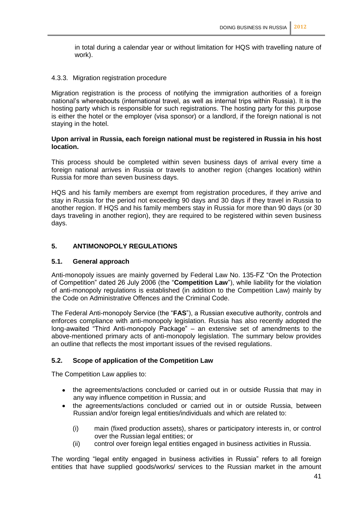in total during a calendar year or without limitation for HQS with travelling nature of work).

# 4.3.3. Migration registration procedure

Migration registration is the process of notifying the immigration authorities of a foreign national's whereabouts (international travel, as well as internal trips within Russia). It is the hosting party which is responsible for such registrations. The hosting party for this purpose is either the hotel or the employer (visa sponsor) or a landlord, if the foreign national is not staying in the hotel.

# **Upon arrival in Russia, each foreign national must be registered in Russia in his host location.**

This process should be completed within seven business days of arrival every time a foreign national arrives in Russia or travels to another region (changes location) within Russia for more than seven business days.

HQS and his family members are exempt from registration procedures, if they arrive and stay in Russia for the period not exceeding 90 days and 30 days if they travel in Russia to another region. If HQS and his family members stay in Russia for more than 90 days (or 30 days traveling in another region), they are required to be registered within seven business days.

# **5. ANTIMONOPOLY REGULATIONS**

#### **5.1. General approach**

Anti-monopoly issues are mainly governed by Federal Law No. 135-FZ "On the Protection of Competition" dated 26 July 2006 (the "**Competition Law**"), while liability for the violation of anti-monopoly regulations is established (in addition to the Competition Law) mainly by the Code on Administrative Offences and the Criminal Code.

The Federal Anti-monopoly Service (the "**FAS**"), a Russian executive authority, controls and enforces compliance with anti-monopoly legislation. Russia has also recently adopted the long-awaited "Third Anti-monopoly Package" – an extensive set of amendments to the above-mentioned primary acts of anti-monopoly legislation. The summary below provides an outline that reflects the most important issues of the revised regulations.

# **5.2. Scope of application of the Competition Law**

The Competition Law applies to:

- the agreements/actions concluded or carried out in or outside Russia that may in any way influence competition in Russia; and
- the agreements/actions concluded or carried out in or outside Russia, between Russian and/or foreign legal entities/individuals and which are related to:
	- (i) main (fixed production assets), shares or participatory interests in, or control over the Russian legal entities; or
	- (ii) control over foreign legal entities engaged in business activities in Russia.

The wording "legal entity engaged in business activities in Russia" refers to all foreign entities that have supplied goods/works/ services to the Russian market in the amount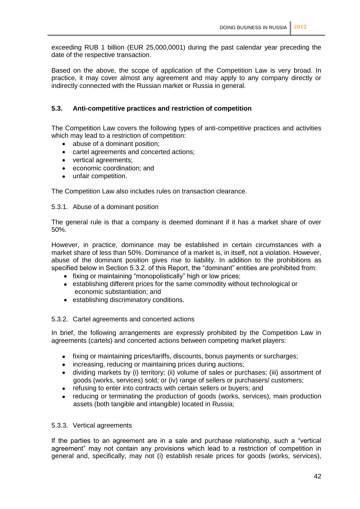exceeding RUB 1 billion (EUR 25,000,0001) during the past calendar year preceding the date of the respective transaction.

Based on the above, the scope of application of the Competition Law is very broad. In practice, it may cover almost any agreement and may apply to any company directly or indirectly connected with the Russian market or Russia in general.

# **5.3. Anti-competitive practices and restriction of competition**

The Competition Law covers the following types of anti-competitive practices and activities which may lead to a restriction of competition:

- abuse of a dominant position;  $\bullet$
- cartel agreements and concerted actions;  $\bullet$
- vertical agreements;
- economic coordination; and
- unfair competition.

The Competition Law also includes rules on transaction clearance.

#### 5.3.1. Abuse of a dominant position

The general rule is that a company is deemed dominant if it has a market share of over 50%.

However, in practice, dominance may be established in certain circumstances with a market share of less than 50%. Dominance of a market is, in itself, not a violation. However, abuse of the dominant position gives rise to liability. In addition to the prohibitions as specified below in Section 5.3.2. of this Report, the "dominant" entities are prohibited from:

- fixing or maintaining "monopolistically" high or low prices;
- establishing different prices for the same commodity without technological or economic substantiation; and
- establishing discriminatory conditions.

#### 5.3.2. Cartel agreements and concerted actions

In brief, the following arrangements are expressly prohibited by the Competition Law in agreements (cartels) and concerted actions between competing market players:

- fixing or maintaining prices/tariffs, discounts, bonus payments or surcharges;  $\bullet$
- increasing, reducing or maintaining prices during auctions;
- dividing markets by (i) territory; (ii) volume of sales or purchases; (iii) assortment of goods (works, services) sold; or (iv) range of sellers or purchasers/ customers;
- refusing to enter into contracts with certain sellers or buyers; and
- reducing or terminating the production of goods (works, services), main production  $\bullet$ assets (both tangible and intangible) located in Russia;

#### 5.3.3. Vertical agreements

If the parties to an agreement are in a sale and purchase relationship, such a "vertical agreement" may not contain any provisions which lead to a restriction of competition in general and, specifically, may not (i) establish resale prices for goods (works, services),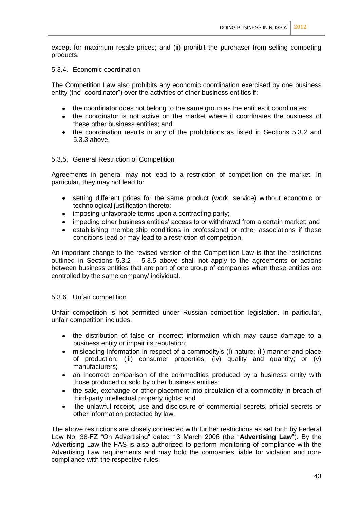except for maximum resale prices; and (ii) prohibit the purchaser from selling competing products.

# 5.3.4. Economic coordination

The Competition Law also prohibits any economic coordination exercised by one business entity (the "coordinator") over the activities of other business entities if:

- the coordinator does not belong to the same group as the entities it coordinates;
- the coordinator is not active on the market where it coordinates the business of these other business entities; and
- the coordination results in any of the prohibitions as listed in Sections 5.3.2 and 5.3.3 above.

# 5.3.5. General Restriction of Competition

Agreements in general may not lead to a restriction of competition on the market. In particular, they may not lead to:

- setting different prices for the same product (work, service) without economic or technological justification thereto;
- imposing unfavorable terms upon a contracting party;
- impeding other business entities' access to or withdrawal from a certain market: and
- establishing membership conditions in professional or other associations if these conditions lead or may lead to a restriction of competition.

An important change to the revised version of the Competition Law is that the restrictions outlined in Sections 5.3.2 – 5.3.5 above shall not apply to the agreements or actions between business entities that are part of one group of companies when these entities are controlled by the same company/ individual.

#### 5.3.6. Unfair competition

Unfair competition is not permitted under Russian competition legislation. In particular, unfair competition includes:

- the distribution of false or incorrect information which may cause damage to a business entity or impair its reputation;
- misleading information in respect of a commodity's (i) nature; (ii) manner and place  $\bullet$ of production; (iii) consumer properties; (iv) quality and quantity; or (v) manufacturers;
- an incorrect comparison of the commodities produced by a business entity with those produced or sold by other business entities;
- the sale, exchange or other placement into circulation of a commodity in breach of  $\bullet$ third-party intellectual property rights; and
- the unlawful receipt, use and disclosure of commercial secrets, official secrets or  $\bullet$ other information protected by law.

The above restrictions are closely connected with further restrictions as set forth by Federal Law No. 38-FZ "On Advertising" dated 13 March 2006 (the "**Advertising Law**"). By the Advertising Law the FAS is also authorized to perform monitoring of compliance with the Advertising Law requirements and may hold the companies liable for violation and noncompliance with the respective rules.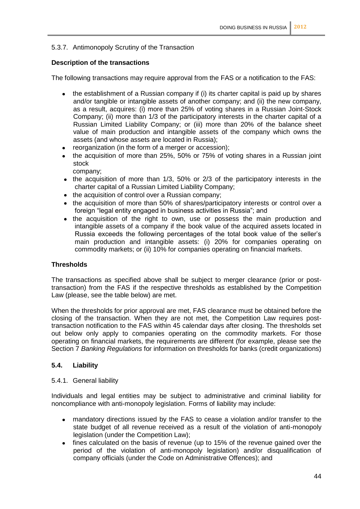# 5.3.7. Antimonopoly Scrutiny of the Transaction

# **Description of the transactions**

The following transactions may require approval from the FAS or a notification to the FAS:

- the establishment of a Russian company if (i) its charter capital is paid up by shares and/or tangible or intangible assets of another company; and (ii) the new company, as a result, acquires: (i) more than 25% of voting shares in a Russian Joint-Stock Company; (ii) more than 1/3 of the participatory interests in the charter capital of a Russian Limited Liability Company; or (iii) more than 20% of the balance sheet value of main production and intangible assets of the company which owns the assets (and whose assets are located in Russia);
- reorganization (in the form of a merger or accession);
- the acquisition of more than 25%, 50% or 75% of voting shares in a Russian joint stock company;
- $\bullet$  the acquisition of more than 1/3, 50% or 2/3 of the participatory interests in the charter capital of a Russian Limited Liability Company;
- the acquisition of control over a Russian company;
- the acquisition of more than 50% of shares/participatory interests or control over a foreign "legal entity engaged in business activities in Russia"; and
- the acquisition of the right to own, use or possess the main production and intangible assets of a company if the book value of the acquired assets located in Russia exceeds the following percentages of the total book value of the seller's main production and intangible assets: (i) 20% for companies operating on commodity markets; or (ii) 10% for companies operating on financial markets.

# **Thresholds**

The transactions as specified above shall be subject to merger clearance (prior or posttransaction) from the FAS if the respective thresholds as established by the Competition Law (please, see the table below) are met.

When the thresholds for prior approval are met, FAS clearance must be obtained before the closing of the transaction. When they are not met, the Competition Law requires posttransaction notification to the FAS within 45 calendar days after closing. The thresholds set out below only apply to companies operating on the commodity markets. For those operating on financial markets, the requirements are different (for example, please see the Section 7 *Banking Regulations* for information on thresholds for banks (credit organizations)

# **5.4. Liability**

#### 5.4.1. General liability

Individuals and legal entities may be subject to administrative and criminal liability for noncompliance with anti-monopoly legislation. Forms of liability may include:

- mandatory directions issued by the FAS to cease a violation and/or transfer to the state budget of all revenue received as a result of the violation of anti-monopoly legislation (under the Competition Law);
- fines calculated on the basis of revenue (up to 15% of the revenue gained over the period of the violation of anti-monopoly legislation) and/or disqualification of company officials (under the Code on Administrative Offences); and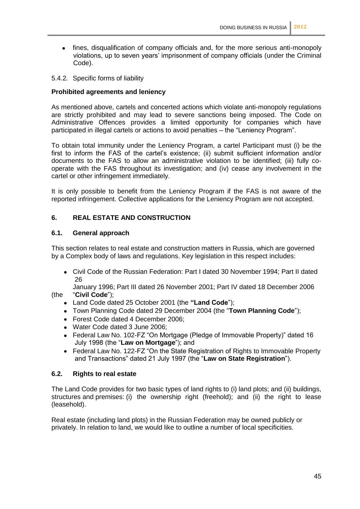- fines, disqualification of company officials and, for the more serious anti-monopoly  $\bullet$ violations, up to seven years' imprisonment of company officials (under the Criminal Code).
- 5.4.2. Specific forms of liability

# **Prohibited agreements and leniency**

As mentioned above, cartels and concerted actions which violate anti-monopoly regulations are strictly prohibited and may lead to severe sanctions being imposed. The Code on Administrative Offences provides a limited opportunity for companies which have participated in illegal cartels or actions to avoid penalties – the "Leniency Program".

To obtain total immunity under the Leniency Program, a cartel Participant must (i) be the first to inform the FAS of the cartel's existence; (ii) submit sufficient information and/or documents to the FAS to allow an administrative violation to be identified; (iii) fully cooperate with the FAS throughout its investigation; and (iv) cease any involvement in the cartel or other infringement immediately.

It is only possible to benefit from the Leniency Program if the FAS is not aware of the reported infringement. Collective applications for the Leniency Program are not accepted.

# **6. REAL ESTATE AND CONSTRUCTION**

#### **6.1. General approach**

This section relates to real estate and construction matters in Russia, which are governed by a Complex body of laws and regulations. Key legislation in this respect includes:

Civil Code of the Russian Federation: Part I dated 30 November 1994; Part II dated 26

January 1996; Part III dated 26 November 2001; Part IV dated 18 December 2006 (the "**Civil Code**");

- Land Code dated 25 October 2001 (the **"Land Code**");
- Town Planning Code dated 29 December 2004 (the "**Town Planning Code**");
- Forest Code dated 4 December 2006;
- Water Code dated 3 June 2006;
- Federal Law No. 102-FZ "On Mortgage (Pledge of Immovable Property)" dated 16 July 1998 (the "**Law on Mortgage**"); and
- Federal Law No. 122-FZ "On the State Registration of Rights to Immovable Property and Transactions" dated 21 July 1997 (the "**Law on State Registration**").

# **6.2. Rights to real estate**

The Land Code provides for two basic types of land rights to (i) land plots; and (ii) buildings, structures and premises: (i) the ownership right (freehold); and (ii) the right to lease (leasehold).

Real estate (including land plots) in the Russian Federation may be owned publicly or privately. In relation to land, we would like to outline a number of local specificities.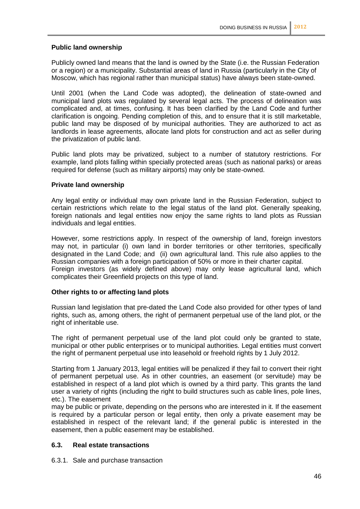# **Public land ownership**

Publicly owned land means that the land is owned by the State (i.e. the Russian Federation or a region) or a municipality. Substantial areas of land in Russia (particularly in the City of Moscow, which has regional rather than municipal status) have always been state-owned.

Until 2001 (when the Land Code was adopted), the delineation of state-owned and municipal land plots was regulated by several legal acts. The process of delineation was complicated and, at times, confusing. It has been clarified by the Land Code and further clarification is ongoing. Pending completion of this, and to ensure that it is still marketable, public land may be disposed of by municipal authorities. They are authorized to act as landlords in lease agreements, allocate land plots for construction and act as seller during the privatization of public land.

Public land plots may be privatized, subject to a number of statutory restrictions. For example, land plots falling within specially protected areas (such as national parks) or areas required for defense (such as military airports) may only be state-owned.

# **Private land ownership**

Any legal entity or individual may own private land in the Russian Federation, subject to certain restrictions which relate to the legal status of the land plot. Generally speaking, foreign nationals and legal entities now enjoy the same rights to land plots as Russian individuals and legal entities.

However, some restrictions apply. In respect of the ownership of land, foreign investors may not, in particular (i) own land in border territories or other territories, specifically designated in the Land Code; and (ii) own agricultural land. This rule also applies to the Russian companies with a foreign participation of 50% or more in their charter capital.

Foreign investors (as widely defined above) may only lease agricultural land, which complicates their Greenfield projects on this type of land.

#### **Other rights to or affecting land plots**

Russian land legislation that pre-dated the Land Code also provided for other types of land rights, such as, among others, the right of permanent perpetual use of the land plot, or the right of inheritable use.

The right of permanent perpetual use of the land plot could only be granted to state, municipal or other public enterprises or to municipal authorities. Legal entities must convert the right of permanent perpetual use into leasehold or freehold rights by 1 July 2012.

Starting from 1 January 2013, legal entities will be penalized if they fail to convert their right of permanent perpetual use. As in other countries, an easement (or servitude) may be established in respect of a land plot which is owned by a third party. This grants the land user a variety of rights (including the right to build structures such as cable lines, pole lines, etc.). The easement

may be public or private, depending on the persons who are interested in it. If the easement is required by a particular person or legal entity, then only a private easement may be established in respect of the relevant land; if the general public is interested in the easement, then a public easement may be established.

#### **6.3. Real estate transactions**

6.3.1. Sale and purchase transaction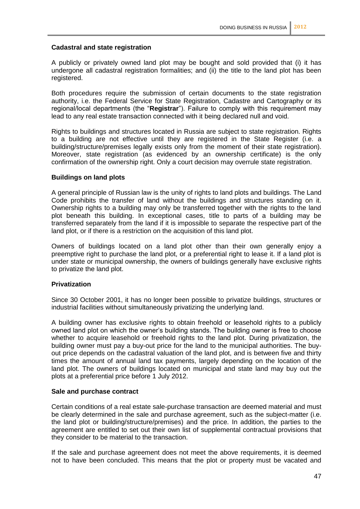# **Cadastral and state registration**

A publicly or privately owned land plot may be bought and sold provided that (i) it has undergone all cadastral registration formalities; and (ii) the title to the land plot has been registered.

Both procedures require the submission of certain documents to the state registration authority, i.e. the Federal Service for State Registration, Cadastre and Cartography or its regional/local departments (the "**Registrar**"). Failure to comply with this requirement may lead to any real estate transaction connected with it being declared null and void.

Rights to buildings and structures located in Russia are subject to state registration. Rights to a building are not effective until they are registered in the State Register (i.e. a building/structure/premises legally exists only from the moment of their state registration). Moreover, state registration (as evidenced by an ownership certificate) is the only confirmation of the ownership right. Only a court decision may overrule state registration.

# **Buildings on land plots**

A general principle of Russian law is the unity of rights to land plots and buildings. The Land Code prohibits the transfer of land without the buildings and structures standing on it. Ownership rights to a building may only be transferred together with the rights to the land plot beneath this building. In exceptional cases, title to parts of a building may be transferred separately from the land if it is impossible to separate the respective part of the land plot, or if there is a restriction on the acquisition of this land plot.

Owners of buildings located on a land plot other than their own generally enjoy a preemptive right to purchase the land plot, or a preferential right to lease it. If a land plot is under state or municipal ownership, the owners of buildings generally have exclusive rights to privatize the land plot.

#### **Privatization**

Since 30 October 2001, it has no longer been possible to privatize buildings, structures or industrial facilities without simultaneously privatizing the underlying land.

A building owner has exclusive rights to obtain freehold or leasehold rights to a publicly owned land plot on which the owner's building stands. The building owner is free to choose whether to acquire leasehold or freehold rights to the land plot. During privatization, the building owner must pay a buy-out price for the land to the municipal authorities. The buyout price depends on the cadastral valuation of the land plot, and is between five and thirty times the amount of annual land tax payments, largely depending on the location of the land plot. The owners of buildings located on municipal and state land may buy out the plots at a preferential price before 1 July 2012.

#### **Sale and purchase contract**

Certain conditions of a real estate sale-purchase transaction are deemed material and must be clearly determined in the sale and purchase agreement, such as the subject-matter (i.e. the land plot or building/structure/premises) and the price. In addition, the parties to the agreement are entitled to set out their own list of supplemental contractual provisions that they consider to be material to the transaction.

If the sale and purchase agreement does not meet the above requirements, it is deemed not to have been concluded. This means that the plot or property must be vacated and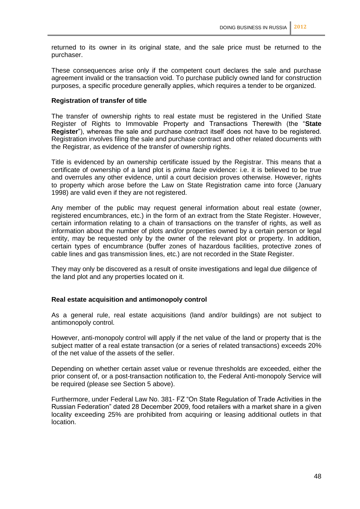returned to its owner in its original state, and the sale price must be returned to the purchaser.

These consequences arise only if the competent court declares the sale and purchase agreement invalid or the transaction void. To purchase publicly owned land for construction purposes, a specific procedure generally applies, which requires a tender to be organized.

#### **Registration of transfer of title**

The transfer of ownership rights to real estate must be registered in the Unified State Register of Rights to Immovable Property and Transactions Therewith (the "**State Register**"), whereas the sale and purchase contract itself does not have to be registered. Registration involves filing the sale and purchase contract and other related documents with the Registrar, as evidence of the transfer of ownership rights.

Title is evidenced by an ownership certificate issued by the Registrar. This means that a certificate of ownership of a land plot is *prima facie* evidence: i.e. it is believed to be true and overrules any other evidence, until a court decision proves otherwise. However, rights to property which arose before the Law on State Registration came into force (January 1998) are valid even if they are not registered.

Any member of the public may request general information about real estate (owner, registered encumbrances, etc.) in the form of an extract from the State Register. However, certain information relating to a chain of transactions on the transfer of rights, as well as information about the number of plots and/or properties owned by a certain person or legal entity, may be requested only by the owner of the relevant plot or property. In addition, certain types of encumbrance (buffer zones of hazardous facilities, protective zones of cable lines and gas transmission lines, etc.) are not recorded in the State Register.

They may only be discovered as a result of onsite investigations and legal due diligence of the land plot and any properties located on it.

#### **Real estate acquisition and antimonopoly control**

As a general rule, real estate acquisitions (land and/or buildings) are not subject to antimonopoly control.

However, anti-monopoly control will apply if the net value of the land or property that is the subject matter of a real estate transaction (or a series of related transactions) exceeds 20% of the net value of the assets of the seller.

Depending on whether certain asset value or revenue thresholds are exceeded, either the prior consent of, or a post-transaction notification to, the Federal Anti-monopoly Service will be required (please see Section 5 above).

Furthermore, under Federal Law No. 381- FZ "On State Regulation of Trade Activities in the Russian Federation" dated 28 December 2009, food retailers with a market share in a given locality exceeding 25% are prohibited from acquiring or leasing additional outlets in that location.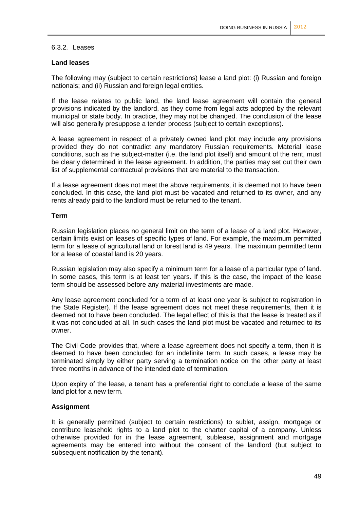#### 6.3.2. Leases

# **Land leases**

The following may (subject to certain restrictions) lease a land plot: (i) Russian and foreign nationals; and (ii) Russian and foreign legal entities.

If the lease relates to public land, the land lease agreement will contain the general provisions indicated by the landlord, as they come from legal acts adopted by the relevant municipal or state body. In practice, they may not be changed. The conclusion of the lease will also generally presuppose a tender process (subject to certain exceptions).

A lease agreement in respect of a privately owned land plot may include any provisions provided they do not contradict any mandatory Russian requirements. Material lease conditions, such as the subject-matter (i.e. the land plot itself) and amount of the rent, must be clearly determined in the lease agreement. In addition, the parties may set out their own list of supplemental contractual provisions that are material to the transaction.

If a lease agreement does not meet the above requirements, it is deemed not to have been concluded. In this case, the land plot must be vacated and returned to its owner, and any rents already paid to the landlord must be returned to the tenant.

# **Term**

Russian legislation places no general limit on the term of a lease of a land plot. However, certain limits exist on leases of specific types of land. For example, the maximum permitted term for a lease of agricultural land or forest land is 49 years. The maximum permitted term for a lease of coastal land is 20 years.

Russian legislation may also specify a minimum term for a lease of a particular type of land. In some cases, this term is at least ten years. If this is the case, the impact of the lease term should be assessed before any material investments are made.

Any lease agreement concluded for a term of at least one year is subject to registration in the State Register). If the lease agreement does not meet these requirements, then it is deemed not to have been concluded. The legal effect of this is that the lease is treated as if it was not concluded at all. In such cases the land plot must be vacated and returned to its owner.

The Civil Code provides that, where a lease agreement does not specify a term, then it is deemed to have been concluded for an indefinite term. In such cases, a lease may be terminated simply by either party serving a termination notice on the other party at least three months in advance of the intended date of termination.

Upon expiry of the lease, a tenant has a preferential right to conclude a lease of the same land plot for a new term.

# **Assignment**

It is generally permitted (subject to certain restrictions) to sublet, assign, mortgage or contribute leasehold rights to a land plot to the charter capital of a company. Unless otherwise provided for in the lease agreement, sublease, assignment and mortgage agreements may be entered into without the consent of the landlord (but subject to subsequent notification by the tenant).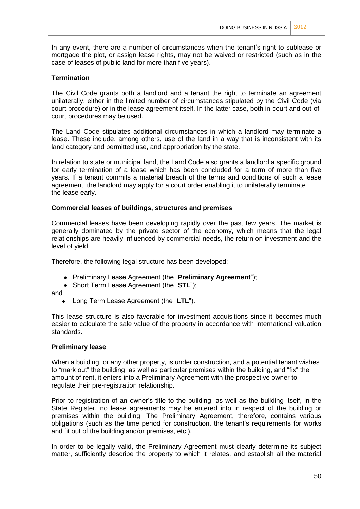In any event, there are a number of circumstances when the tenant's right to sublease or mortgage the plot, or assign lease rights, may not be waived or restricted (such as in the case of leases of public land for more than five years).

#### **Termination**

The Civil Code grants both a landlord and a tenant the right to terminate an agreement unilaterally, either in the limited number of circumstances stipulated by the Civil Code (via court procedure) or in the lease agreement itself. In the latter case, both in-court and out-ofcourt procedures may be used.

The Land Code stipulates additional circumstances in which a landlord may terminate a lease. These include, among others, use of the land in a way that is inconsistent with its land category and permitted use, and appropriation by the state.

In relation to state or municipal land, the Land Code also grants a landlord a specific ground for early termination of a lease which has been concluded for a term of more than five years. If a tenant commits a material breach of the terms and conditions of such a lease agreement, the landlord may apply for a court order enabling it to unilaterally terminate the lease early.

#### **Commercial leases of buildings, structures and premises**

Commercial leases have been developing rapidly over the past few years. The market is generally dominated by the private sector of the economy, which means that the legal relationships are heavily influenced by commercial needs, the return on investment and the level of yield.

Therefore, the following legal structure has been developed:

- Preliminary Lease Agreement (the "**Preliminary Agreement**");
- Short Term Lease Agreement (the "**STL**");

and

Long Term Lease Agreement (the "**LTL**").

This lease structure is also favorable for investment acquisitions since it becomes much easier to calculate the sale value of the property in accordance with international valuation standards.

#### **Preliminary lease**

When a building, or any other property, is under construction, and a potential tenant wishes to "mark out" the building, as well as particular premises within the building, and "fix" the amount of rent, it enters into a Preliminary Agreement with the prospective owner to regulate their pre-registration relationship.

Prior to registration of an owner's title to the building, as well as the building itself, in the State Register, no lease agreements may be entered into in respect of the building or premises within the building. The Preliminary Agreement, therefore, contains various obligations (such as the time period for construction, the tenant's requirements for works and fit out of the building and/or premises, etc.).

In order to be legally valid, the Preliminary Agreement must clearly determine its subject matter, sufficiently describe the property to which it relates, and establish all the material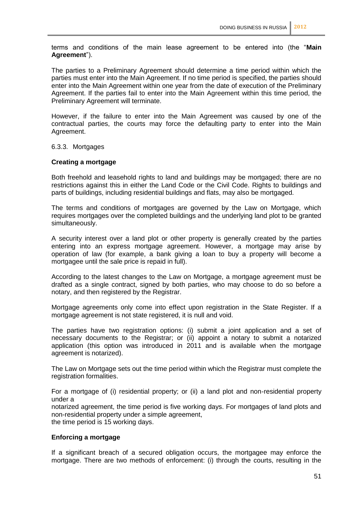terms and conditions of the main lease agreement to be entered into (the "**Main Agreement**").

The parties to a Preliminary Agreement should determine a time period within which the parties must enter into the Main Agreement. If no time period is specified, the parties should enter into the Main Agreement within one year from the date of execution of the Preliminary Agreement. If the parties fail to enter into the Main Agreement within this time period, the Preliminary Agreement will terminate.

However, if the failure to enter into the Main Agreement was caused by one of the contractual parties, the courts may force the defaulting party to enter into the Main Agreement.

#### 6.3.3. Mortgages

#### **Creating a mortgage**

Both freehold and leasehold rights to land and buildings may be mortgaged; there are no restrictions against this in either the Land Code or the Civil Code. Rights to buildings and parts of buildings, including residential buildings and flats, may also be mortgaged.

The terms and conditions of mortgages are governed by the Law on Mortgage, which requires mortgages over the completed buildings and the underlying land plot to be granted simultaneously.

A security interest over a land plot or other property is generally created by the parties entering into an express mortgage agreement. However, a mortgage may arise by operation of law (for example, a bank giving a loan to buy a property will become a mortgagee until the sale price is repaid in full).

According to the latest changes to the Law on Mortgage, a mortgage agreement must be drafted as a single contract, signed by both parties, who may choose to do so before a notary, and then registered by the Registrar.

Mortgage agreements only come into effect upon registration in the State Register. If a mortgage agreement is not state registered, it is null and void.

The parties have two registration options: (i) submit a joint application and a set of necessary documents to the Registrar; or (ii) appoint a notary to submit a notarized application (this option was introduced in 2011 and is available when the mortgage agreement is notarized).

The Law on Mortgage sets out the time period within which the Registrar must complete the registration formalities.

For a mortgage of (i) residential property; or (ii) a land plot and non-residential property under a

notarized agreement, the time period is five working days. For mortgages of land plots and non-residential property under a simple agreement, the time period is 15 working days.

#### **Enforcing a mortgage**

If a significant breach of a secured obligation occurs, the mortgagee may enforce the mortgage. There are two methods of enforcement: (i) through the courts, resulting in the